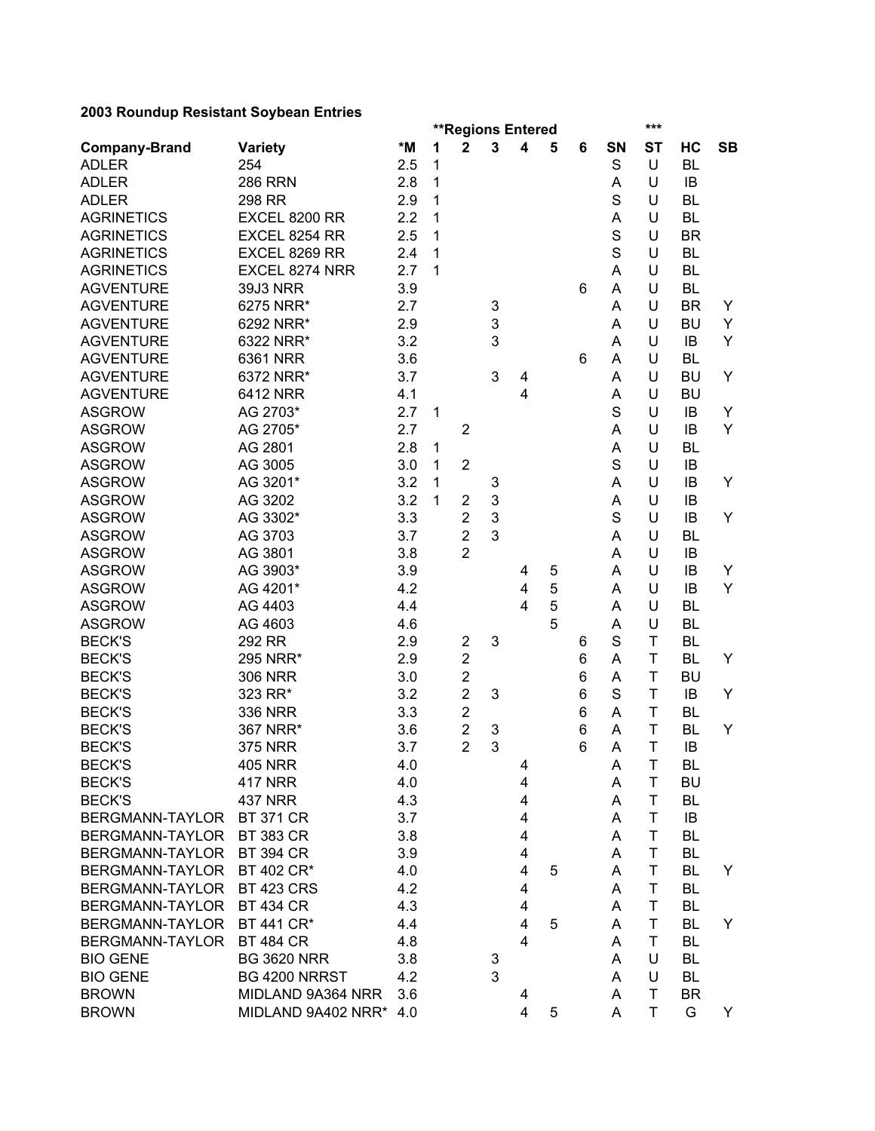| 2000 Rodnaap Resistant Ooybean Entries |                        |     |   |                          |   |                |   |   |             | ***            |           |           |
|----------------------------------------|------------------------|-----|---|--------------------------|---|----------------|---|---|-------------|----------------|-----------|-----------|
|                                        |                        |     |   | <b>**Regions Entered</b> |   |                |   |   |             |                |           |           |
| <b>Company-Brand</b>                   | <b>Variety</b>         | *M  | 1 | $\overline{2}$           | 3 | 4              | 5 | 6 | SN          | <b>ST</b>      | HC        | <b>SB</b> |
| <b>ADLER</b>                           | 254                    | 2.5 | 1 |                          |   |                |   |   | $\mathbf S$ | U              | <b>BL</b> |           |
| <b>ADLER</b>                           | <b>286 RRN</b>         | 2.8 | 1 |                          |   |                |   |   | A           | U              | IB        |           |
| <b>ADLER</b>                           | 298 RR                 | 2.9 | 1 |                          |   |                |   |   | $\mathbf S$ | U              | <b>BL</b> |           |
| <b>AGRINETICS</b>                      | EXCEL 8200 RR          | 2.2 | 1 |                          |   |                |   |   | A           | U              | <b>BL</b> |           |
| <b>AGRINETICS</b>                      | EXCEL 8254 RR          | 2.5 | 1 |                          |   |                |   |   | $\mathbf S$ | U              | <b>BR</b> |           |
| <b>AGRINETICS</b>                      | EXCEL 8269 RR          | 2.4 | 1 |                          |   |                |   |   | $\mathbf S$ | U              | <b>BL</b> |           |
| <b>AGRINETICS</b>                      | EXCEL 8274 NRR         | 2.7 | 1 |                          |   |                |   |   | A           | U              | <b>BL</b> |           |
| <b>AGVENTURE</b>                       | <b>39J3 NRR</b>        | 3.9 |   |                          |   |                |   | 6 | A           | U              | <b>BL</b> |           |
| <b>AGVENTURE</b>                       | 6275 NRR*              | 2.7 |   |                          | 3 |                |   |   | A           | U              | <b>BR</b> | Y         |
| <b>AGVENTURE</b>                       | 6292 NRR*              | 2.9 |   |                          | 3 |                |   |   | A           | U              | <b>BU</b> | Y         |
| <b>AGVENTURE</b>                       | 6322 NRR*              | 3.2 |   |                          | 3 |                |   |   | A           | U              | IB        | Y         |
| <b>AGVENTURE</b>                       | 6361 NRR               | 3.6 |   |                          |   |                |   | 6 | Α           | U              | <b>BL</b> |           |
| <b>AGVENTURE</b>                       | 6372 NRR*              | 3.7 |   |                          | 3 | 4              |   |   | Α           | U              | <b>BU</b> | Y         |
| <b>AGVENTURE</b>                       | 6412 NRR               | 4.1 |   |                          |   | 4              |   |   | Α           | U              | <b>BU</b> |           |
| <b>ASGROW</b>                          | AG 2703*               | 2.7 | 1 |                          |   |                |   |   | S           | U              | IB        | Υ         |
| <b>ASGROW</b>                          | AG 2705*               | 2.7 |   | $\overline{2}$           |   |                |   |   | A           | U              | IB        | Y         |
| <b>ASGROW</b>                          | AG 2801                | 2.8 | 1 |                          |   |                |   |   | A           | U              | <b>BL</b> |           |
| <b>ASGROW</b>                          | AG 3005                | 3.0 | 1 | $\overline{2}$           |   |                |   |   | $\mathbf S$ | U              | IB        |           |
| <b>ASGROW</b>                          | AG 3201*               | 3.2 | 1 |                          | 3 |                |   |   | A           | U              | IB        | Y         |
| <b>ASGROW</b>                          | AG 3202                | 3.2 | 1 | $\overline{2}$           | 3 |                |   |   | Α           | U              | IB        |           |
| <b>ASGROW</b>                          | AG 3302*               | 3.3 |   | $\overline{2}$           | 3 |                |   |   | $\mathbf S$ | U              | IB        | Y         |
| <b>ASGROW</b>                          | AG 3703                | 3.7 |   | $\overline{c}$           | 3 |                |   |   | Α           | U              | <b>BL</b> |           |
| <b>ASGROW</b>                          | AG 3801                | 3.8 |   | $\overline{2}$           |   |                |   |   | A           | U              | <b>IB</b> |           |
| <b>ASGROW</b>                          | AG 3903*               | 3.9 |   |                          |   | 4              | 5 |   | A           | U              | IB        | Y         |
| <b>ASGROW</b>                          | AG 4201*               | 4.2 |   |                          |   | 4              | 5 |   | A           | U              | IB        | Y         |
| <b>ASGROW</b>                          | AG 4403                | 4.4 |   |                          |   | $\overline{4}$ | 5 |   | A           | U              | <b>BL</b> |           |
| <b>ASGROW</b>                          | AG 4603                | 4.6 |   |                          |   |                | 5 |   | A           | U              | <b>BL</b> |           |
| <b>BECK'S</b>                          | 292 RR                 | 2.9 |   | $\overline{2}$           | 3 |                |   | 6 | S           | T              | <b>BL</b> |           |
| <b>BECK'S</b>                          | 295 NRR*               | 2.9 |   | $\overline{2}$           |   |                |   | 6 | A           | Τ              | <b>BL</b> | Y         |
| <b>BECK'S</b>                          | <b>306 NRR</b>         | 3.0 |   | $\overline{2}$           |   |                |   | 6 | A           | T              | <b>BU</b> |           |
| <b>BECK'S</b>                          | 323 RR*                | 3.2 |   | $\overline{c}$           | 3 |                |   | 6 | S           | T              | IB        | Y         |
| <b>BECK'S</b>                          | <b>336 NRR</b>         | 3.3 |   | $\overline{c}$           |   |                |   | 6 | Α           | T              | <b>BL</b> |           |
| <b>BECK'S</b>                          | 367 NRR*               | 3.6 |   | $\overline{c}$           | 3 |                |   | 6 | Α           | T              | <b>BL</b> | Y         |
| <b>BECK'S</b>                          | <b>375 NRR</b>         | 3.7 |   | $\overline{2}$           | 3 |                |   | 6 | A           | T              | IB        |           |
| <b>BECK'S</b>                          | <b>405 NRR</b>         | 4.0 |   |                          |   | 4              |   |   | A           | $\mathsf T$    | <b>BL</b> |           |
| <b>BECK'S</b>                          | <b>417 NRR</b>         | 4.0 |   |                          |   | 4              |   |   | A           | T              | <b>BU</b> |           |
| <b>BECK'S</b>                          | <b>437 NRR</b>         | 4.3 |   |                          |   | 4              |   |   | A           | Τ              | BL        |           |
| BERGMANN-TAYLOR                        | <b>BT 371 CR</b>       | 3.7 |   |                          |   | 4              |   |   | A           | T              | IB        |           |
| BERGMANN-TAYLOR                        | <b>BT 383 CR</b>       | 3.8 |   |                          |   | 4              |   |   | A           | Τ              | <b>BL</b> |           |
| BERGMANN-TAYLOR                        | <b>BT 394 CR</b>       | 3.9 |   |                          |   | 4              |   |   | A           | T              | <b>BL</b> |           |
| <b>BERGMANN-TAYLOR</b>                 | BT 402 CR*             | 4.0 |   |                          |   | 4              | 5 |   | A           | T              | BL        | Y         |
| BERGMANN-TAYLOR                        | <b>BT 423 CRS</b>      | 4.2 |   |                          |   | 4              |   |   | A           | T              | <b>BL</b> |           |
| BERGMANN-TAYLOR                        | <b>BT 434 CR</b>       | 4.3 |   |                          |   | 4              |   |   | A           | Τ              | <b>BL</b> |           |
| BERGMANN-TAYLOR                        | BT 441 CR*             | 4.4 |   |                          |   | 4              | 5 |   | A           | Τ              | <b>BL</b> | Y         |
| BERGMANN-TAYLOR                        | <b>BT 484 CR</b>       | 4.8 |   |                          |   | 4              |   |   | A           | T              | <b>BL</b> |           |
| <b>BIO GENE</b>                        | <b>BG 3620 NRR</b>     | 3.8 |   |                          | 3 |                |   |   | Α           | U              | <b>BL</b> |           |
| <b>BIO GENE</b>                        | BG 4200 NRRST          | 4.2 |   |                          | 3 |                |   |   | A           | U              | BL        |           |
| <b>BROWN</b>                           | MIDLAND 9A364 NRR      | 3.6 |   |                          |   | 4              |   |   | A           | Τ              | <b>BR</b> |           |
| <b>BROWN</b>                           | MIDLAND 9A402 NRR* 4.0 |     |   |                          |   | 4              | 5 |   | A           | T <sub>1</sub> | G         | Y         |
|                                        |                        |     |   |                          |   |                |   |   |             |                |           |           |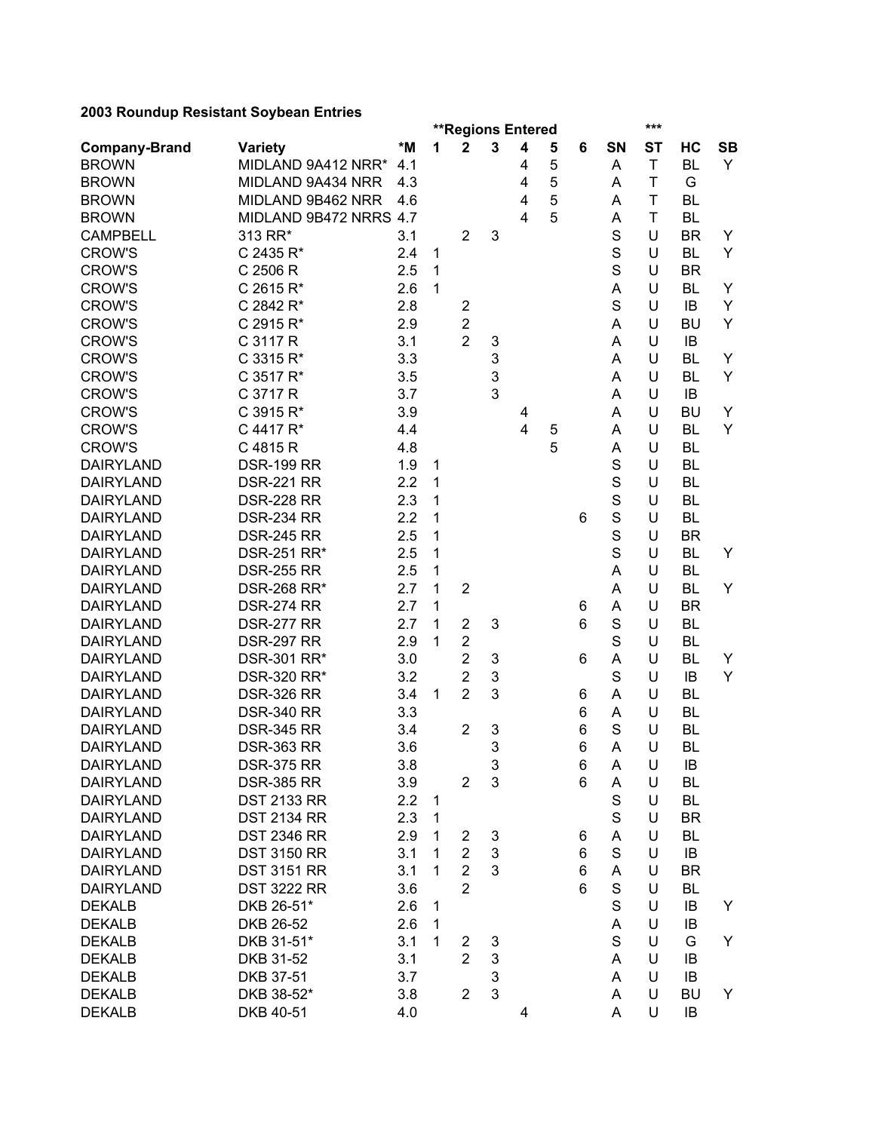|                      |                        |     |              |                         | <b>**Regions Entered</b> |                         |   |   |             | ***       |           |           |
|----------------------|------------------------|-----|--------------|-------------------------|--------------------------|-------------------------|---|---|-------------|-----------|-----------|-----------|
| <b>Company-Brand</b> | <b>Variety</b>         | *M  | 1            | $\mathbf{2}$            | 3                        | $\overline{\mathbf{4}}$ | 5 | 6 | SN          | <b>ST</b> | HC        | <b>SB</b> |
| <b>BROWN</b>         | MIDLAND 9A412 NRR*     | 4.1 |              |                         |                          | 4                       | 5 |   | Α           | T         | <b>BL</b> | Y         |
| <b>BROWN</b>         | MIDLAND 9A434 NRR      | 4.3 |              |                         |                          | 4                       | 5 |   | Α           | T         | G         |           |
| <b>BROWN</b>         | MIDLAND 9B462 NRR      | 4.6 |              |                         |                          | 4                       | 5 |   | A           | T         | <b>BL</b> |           |
| <b>BROWN</b>         | MIDLAND 9B472 NRRS 4.7 |     |              |                         |                          | $\overline{4}$          | 5 |   | A           | T         | <b>BL</b> |           |
| <b>CAMPBELL</b>      | 313 RR*                | 3.1 |              | $\overline{2}$          | 3                        |                         |   |   | S           | U         | <b>BR</b> | Y         |
| <b>CROW'S</b>        | C 2435 R*              | 2.4 | 1            |                         |                          |                         |   |   | S           | U         | <b>BL</b> | Y         |
| <b>CROW'S</b>        | C 2506 R               | 2.5 | 1            |                         |                          |                         |   |   | S           | U         | <b>BR</b> |           |
| <b>CROW'S</b>        | C 2615 R*              | 2.6 | 1            |                         |                          |                         |   |   | A           | U         | <b>BL</b> | Y         |
| <b>CROW'S</b>        | C 2842 R*              | 2.8 |              | $\overline{\mathbf{c}}$ |                          |                         |   |   | S           | U         | IB        | Y         |
| <b>CROW'S</b>        | C 2915 R*              | 2.9 |              | $\overline{2}$          |                          |                         |   |   | Α           | U         | BU        | Y         |
| <b>CROW'S</b>        | C 3117 R               | 3.1 |              | $\overline{2}$          | 3                        |                         |   |   | A           | U         | IB        |           |
| <b>CROW'S</b>        | C 3315 R*              | 3.3 |              |                         | 3                        |                         |   |   | A           | U         | BL        | Y         |
| <b>CROW'S</b>        | C 3517 R*              | 3.5 |              |                         | 3                        |                         |   |   | A           | U         | <b>BL</b> | Y         |
| <b>CROW'S</b>        | C 3717 R               | 3.7 |              |                         | 3                        |                         |   |   | Α           | U         | IB        |           |
| <b>CROW'S</b>        | C 3915 R*              | 3.9 |              |                         |                          | 4                       |   |   | Α           | U         | <b>BU</b> | Y         |
| <b>CROW'S</b>        | C 4417 R*              | 4.4 |              |                         |                          | $\overline{\mathbf{4}}$ | 5 |   | Α           | U         | <b>BL</b> | Y         |
| <b>CROW'S</b>        | C 4815 R               | 4.8 |              |                         |                          |                         | 5 |   | A           | U         | <b>BL</b> |           |
| <b>DAIRYLAND</b>     | <b>DSR-199 RR</b>      | 1.9 | 1            |                         |                          |                         |   |   | S           | U         | <b>BL</b> |           |
| <b>DAIRYLAND</b>     | <b>DSR-221 RR</b>      | 2.2 | 1            |                         |                          |                         |   |   | $\mathbf S$ | U         | <b>BL</b> |           |
| <b>DAIRYLAND</b>     | <b>DSR-228 RR</b>      | 2.3 | 1            |                         |                          |                         |   |   | $\mathbf S$ | U         | <b>BL</b> |           |
| <b>DAIRYLAND</b>     | <b>DSR-234 RR</b>      | 2.2 | 1            |                         |                          |                         |   | 6 | $\mathbf S$ | U         | <b>BL</b> |           |
| <b>DAIRYLAND</b>     | <b>DSR-245 RR</b>      | 2.5 | 1            |                         |                          |                         |   |   | S           | U         | <b>BR</b> |           |
| <b>DAIRYLAND</b>     | DSR-251 RR*            | 2.5 | 1            |                         |                          |                         |   |   | S           | U         | <b>BL</b> | Υ         |
| <b>DAIRYLAND</b>     | <b>DSR-255 RR</b>      | 2.5 | 1            |                         |                          |                         |   |   | A           | U         | <b>BL</b> |           |
| <b>DAIRYLAND</b>     | DSR-268 RR*            | 2.7 | 1            | $\overline{2}$          |                          |                         |   |   | A           | U         | <b>BL</b> | Y         |
| <b>DAIRYLAND</b>     | <b>DSR-274 RR</b>      | 2.7 | 1            |                         |                          |                         |   | 6 | A           | U         | <b>BR</b> |           |
| <b>DAIRYLAND</b>     | <b>DSR-277 RR</b>      | 2.7 | 1            | $\overline{2}$          | 3                        |                         |   | 6 | $\mathbf S$ | U         | <b>BL</b> |           |
| <b>DAIRYLAND</b>     | <b>DSR-297 RR</b>      | 2.9 | 1            | $\overline{2}$          |                          |                         |   |   | S           | U         | <b>BL</b> |           |
| <b>DAIRYLAND</b>     | DSR-301 RR*            | 3.0 |              | $\overline{2}$          | 3                        |                         |   | 6 | A           | U         | <b>BL</b> | Y         |
| <b>DAIRYLAND</b>     | DSR-320 RR*            | 3.2 |              | $\overline{2}$          | 3                        |                         |   |   | S           | U         | IB        | Y         |
| <b>DAIRYLAND</b>     | <b>DSR-326 RR</b>      | 3.4 | 1            | $\overline{2}$          | 3                        |                         |   | 6 | A           | U         | <b>BL</b> |           |
| <b>DAIRYLAND</b>     | <b>DSR-340 RR</b>      | 3.3 |              |                         |                          |                         |   | 6 | A           | U         | <b>BL</b> |           |
| <b>DAIRYLAND</b>     | <b>DSR-345 RR</b>      | 3.4 |              | $\overline{2}$          | 3                        |                         |   | 6 | S           | U         | <b>BL</b> |           |
| <b>DAIRYLAND</b>     | <b>DSR-363 RR</b>      | 3.6 |              |                         | 3                        |                         |   | 6 | A           | U         | <b>BL</b> |           |
| <b>DAIRYLAND</b>     | <b>DSR-375 RR</b>      | 3.8 |              |                         | 3                        |                         |   | 6 | A           | U         | IB        |           |
| <b>DAIRYLAND</b>     | <b>DSR-385 RR</b>      | 3.9 |              | $\overline{2}$          | 3                        |                         |   | 6 | Α           | U         | BL        |           |
| <b>DAIRYLAND</b>     | <b>DST 2133 RR</b>     | 2.2 | 1            |                         |                          |                         |   |   | $\mathbf S$ | U         | <b>BL</b> |           |
| <b>DAIRYLAND</b>     | <b>DST 2134 RR</b>     | 2.3 | $\mathbf{1}$ |                         |                          |                         |   |   | $\mathbf S$ | U         | <b>BR</b> |           |
| <b>DAIRYLAND</b>     | <b>DST 2346 RR</b>     | 2.9 | 1            | 2                       | 3                        |                         |   | 6 | A           | U         | <b>BL</b> |           |
| <b>DAIRYLAND</b>     | <b>DST 3150 RR</b>     | 3.1 | 1            | $\overline{2}$          | 3                        |                         |   | 6 | $\mathbf S$ | U         | IB        |           |
| <b>DAIRYLAND</b>     | <b>DST 3151 RR</b>     | 3.1 | 1            | $\overline{2}$          | 3                        |                         |   | 6 | A           | U         | <b>BR</b> |           |
| <b>DAIRYLAND</b>     | <b>DST 3222 RR</b>     | 3.6 |              | $\overline{2}$          |                          |                         |   | 6 | $\mathbf S$ | U         | BL        |           |
| <b>DEKALB</b>        | DKB 26-51*             | 2.6 |              |                         |                          |                         |   |   | $\mathbf S$ | U         | IB        | Y         |
| <b>DEKALB</b>        | DKB 26-52              | 2.6 | 1            |                         |                          |                         |   |   |             |           |           |           |
|                      |                        |     | 1            |                         |                          |                         |   |   | A           | U         | IB        |           |
| <b>DEKALB</b>        | DKB 31-51*             | 3.1 | 1            | 2<br>$\overline{2}$     | 3<br>3                   |                         |   |   | S           | U         | G         | Y         |
| <b>DEKALB</b>        | DKB 31-52              | 3.1 |              |                         |                          |                         |   |   | A           | U         | IB        |           |
| <b>DEKALB</b>        | DKB 37-51              | 3.7 |              |                         | 3                        |                         |   |   | A           | U         | IB        |           |
| <b>DEKALB</b>        | DKB 38-52*             | 3.8 |              | $\overline{2}$          | 3                        |                         |   |   | A           | U         | <b>BU</b> | Y         |
| <b>DEKALB</b>        | DKB 40-51              | 4.0 |              |                         |                          | 4                       |   |   | A           | U         | IB        |           |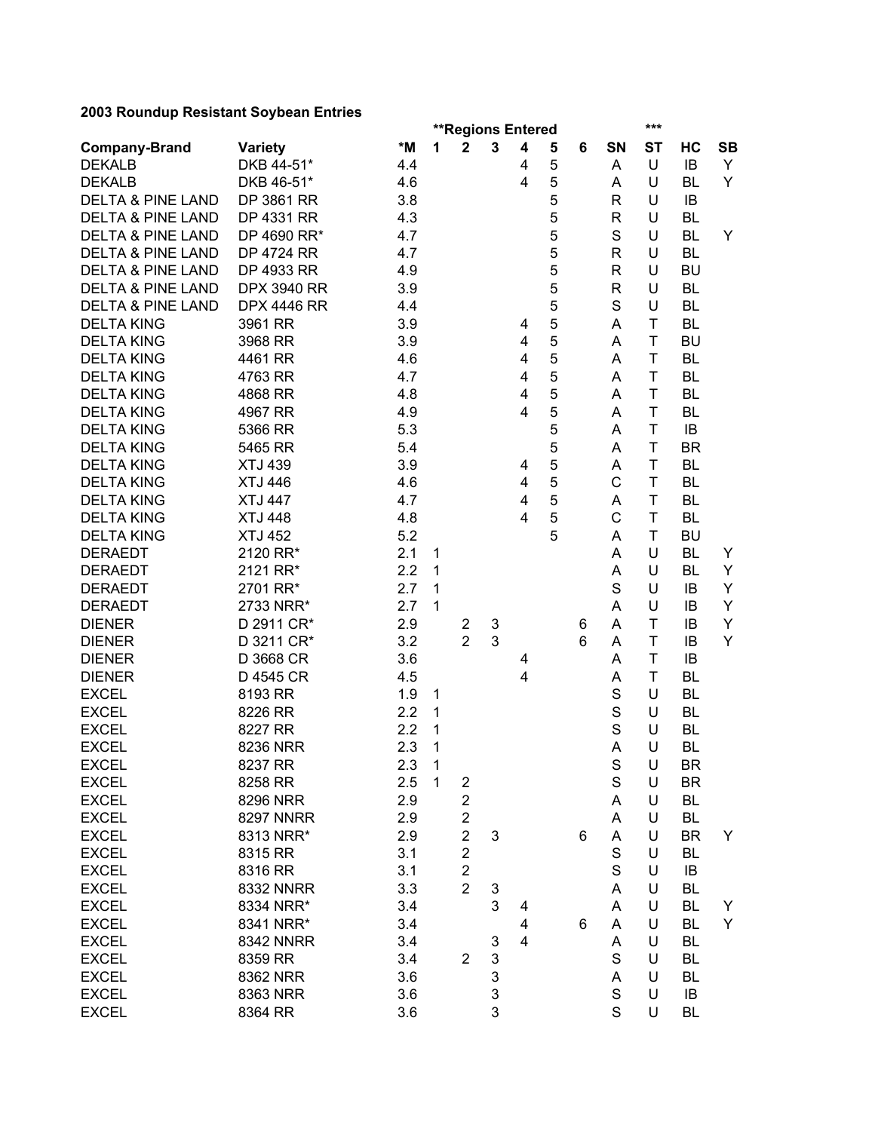|                              |                    |     |                |                         | <b>**Regions Entered</b> |                         |   |   |             | ***       |           |           |
|------------------------------|--------------------|-----|----------------|-------------------------|--------------------------|-------------------------|---|---|-------------|-----------|-----------|-----------|
| <b>Company-Brand</b>         | <b>Variety</b>     | *M  | 1              | $\overline{\mathbf{2}}$ | $\mathbf{3}$             | $\overline{\mathbf{4}}$ | 5 | 6 | SN          | <b>ST</b> | НC        | <b>SB</b> |
| <b>DEKALB</b>                | DKB 44-51*         | 4.4 |                |                         |                          | 4                       | 5 |   | A           | U         | IB        | Y         |
| <b>DEKALB</b>                | DKB 46-51*         | 4.6 |                |                         |                          | 4                       | 5 |   | Α           | U         | BL        | Y         |
| <b>DELTA &amp; PINE LAND</b> | DP 3861 RR         | 3.8 |                |                         |                          |                         | 5 |   | R           | U         | IB        |           |
| <b>DELTA &amp; PINE LAND</b> | DP 4331 RR         | 4.3 |                |                         |                          |                         | 5 |   | R           | U         | <b>BL</b> |           |
| <b>DELTA &amp; PINE LAND</b> | DP 4690 RR*        | 4.7 |                |                         |                          |                         | 5 |   | $\mathbf S$ | U         | <b>BL</b> | Y         |
| <b>DELTA &amp; PINE LAND</b> | DP 4724 RR         | 4.7 |                |                         |                          |                         | 5 |   | R           | U         | <b>BL</b> |           |
| <b>DELTA &amp; PINE LAND</b> | DP 4933 RR         | 4.9 |                |                         |                          |                         | 5 |   | R           | U         | BU        |           |
| <b>DELTA &amp; PINE LAND</b> | <b>DPX 3940 RR</b> | 3.9 |                |                         |                          |                         | 5 |   | R           | U         | <b>BL</b> |           |
| <b>DELTA &amp; PINE LAND</b> | <b>DPX 4446 RR</b> | 4.4 |                |                         |                          |                         | 5 |   | S           | U         | <b>BL</b> |           |
| <b>DELTA KING</b>            | 3961 RR            | 3.9 |                |                         |                          | 4                       | 5 |   | A           | T         | <b>BL</b> |           |
| <b>DELTA KING</b>            | 3968 RR            | 3.9 |                |                         |                          | 4                       | 5 |   | A           | T         | <b>BU</b> |           |
| <b>DELTA KING</b>            | 4461 RR            | 4.6 |                |                         |                          | 4                       | 5 |   | A           | T         | <b>BL</b> |           |
| <b>DELTA KING</b>            | 4763 RR            | 4.7 |                |                         |                          | $\overline{4}$          | 5 |   | A           | T         | <b>BL</b> |           |
| <b>DELTA KING</b>            | 4868 RR            | 4.8 |                |                         |                          | 4                       | 5 |   | A           | T         | <b>BL</b> |           |
| <b>DELTA KING</b>            | 4967 RR            | 4.9 |                |                         |                          | $\overline{4}$          | 5 |   | Α           | T         | <b>BL</b> |           |
| <b>DELTA KING</b>            | 5366 RR            | 5.3 |                |                         |                          |                         | 5 |   | Α           | T         | IB        |           |
|                              |                    |     |                |                         |                          |                         |   |   |             | T         | <b>BR</b> |           |
| <b>DELTA KING</b>            | 5465 RR            | 5.4 |                |                         |                          |                         | 5 |   | Α           | T         |           |           |
| <b>DELTA KING</b>            | <b>XTJ 439</b>     | 3.9 |                |                         |                          | 4                       | 5 |   | A           |           | BL        |           |
| <b>DELTA KING</b>            | <b>XTJ 446</b>     | 4.6 |                |                         |                          | 4                       | 5 |   | C           | T         | <b>BL</b> |           |
| <b>DELTA KING</b>            | <b>XTJ 447</b>     | 4.7 |                |                         |                          | 4                       | 5 |   | A           | T         | <b>BL</b> |           |
| <b>DELTA KING</b>            | <b>XTJ 448</b>     | 4.8 |                |                         |                          | 4                       | 5 |   | C           | T         | <b>BL</b> |           |
| <b>DELTA KING</b>            | <b>XTJ 452</b>     | 5.2 |                |                         |                          |                         | 5 |   | A           | T         | <b>BU</b> |           |
| <b>DERAEDT</b>               | 2120 RR*           | 2.1 | 1              |                         |                          |                         |   |   | Α           | U         | <b>BL</b> | Y         |
| <b>DERAEDT</b>               | 2121 RR*           | 2.2 | 1              |                         |                          |                         |   |   | А           | U         | <b>BL</b> | Y         |
| <b>DERAEDT</b>               | 2701 RR*           | 2.7 | 1              |                         |                          |                         |   |   | $\mathbf S$ | U         | IB        | Υ         |
| <b>DERAEDT</b>               | 2733 NRR*          | 2.7 | 1              |                         |                          |                         |   |   | A           | U         | IB        | Y         |
| <b>DIENER</b>                | D 2911 CR*         | 2.9 |                | $\overline{2}$          | 3                        |                         |   | 6 | Α           | T         | IB        | Y         |
| <b>DIENER</b>                | D 3211 CR*         | 3.2 |                | $\overline{2}$          | 3                        |                         |   | 6 | A           | T         | IB        | Y         |
| <b>DIENER</b>                | D 3668 CR          | 3.6 |                |                         |                          | 4                       |   |   | A           | T         | IB        |           |
| <b>DIENER</b>                | D 4545 CR          | 4.5 |                |                         |                          | 4                       |   |   | A           | T         | <b>BL</b> |           |
| <b>EXCEL</b>                 | 8193 RR            | 1.9 | 1              |                         |                          |                         |   |   | S           | U         | <b>BL</b> |           |
| <b>EXCEL</b>                 | 8226 RR            | 2.2 | 1              |                         |                          |                         |   |   | $\mathbf S$ | U         | <b>BL</b> |           |
| <b>EXCEL</b>                 | 8227 RR            | 2.2 | 1              |                         |                          |                         |   |   | $\mathbf S$ | U         | <b>BL</b> |           |
| <b>EXCEL</b>                 | 8236 NRR           | 2.3 | 1              |                         |                          |                         |   |   | A           | U         | <b>BL</b> |           |
| <b>EXCEL</b>                 | 8237 RR            | 2.3 | $\mathbf{1}$   |                         |                          |                         |   |   | $\mathbf S$ | U         | <b>BR</b> |           |
| <b>EXCEL</b>                 | 8258 RR            | 2.5 | $\overline{1}$ | 2                       |                          |                         |   |   | $\mathbf S$ | U         | <b>BR</b> |           |
| <b>EXCEL</b>                 | 8296 NRR           | 2.9 |                | $\overline{2}$          |                          |                         |   |   | A           | U         | <b>BL</b> |           |
| <b>EXCEL</b>                 | <b>8297 NNRR</b>   | 2.9 |                | $\overline{c}$          |                          |                         |   |   | Α           | U         | <b>BL</b> |           |
| <b>EXCEL</b>                 | 8313 NRR*          | 2.9 |                | $\overline{2}$          | 3                        |                         |   | 6 | Α           | U         | BR        | Y         |
| <b>EXCEL</b>                 | 8315 RR            | 3.1 |                | $\overline{2}$          |                          |                         |   |   | $\mathbf S$ | U         | BL        |           |
| <b>EXCEL</b>                 | 8316 RR            | 3.1 |                | $\overline{\mathbf{c}}$ |                          |                         |   |   | S           | U         | IB        |           |
| <b>EXCEL</b>                 | <b>8332 NNRR</b>   | 3.3 |                | $\overline{2}$          | 3                        |                         |   |   | Α           | U         | BL        |           |
| <b>EXCEL</b>                 | 8334 NRR*          | 3.4 |                |                         | 3                        | 4                       |   |   | A           | U         | BL        | Y         |
| <b>EXCEL</b>                 | 8341 NRR*          | 3.4 |                |                         |                          | $\overline{\mathbf{4}}$ |   | 6 | A           | U         | <b>BL</b> | Y         |
| <b>EXCEL</b>                 | <b>8342 NNRR</b>   | 3.4 |                |                         | 3                        | $\overline{\mathbf{4}}$ |   |   | Α           | U         | <b>BL</b> |           |
|                              |                    |     |                | $\overline{2}$          | 3                        |                         |   |   | S           | U         |           |           |
| <b>EXCEL</b>                 | 8359 RR            | 3.4 |                |                         |                          |                         |   |   |             |           | <b>BL</b> |           |
| <b>EXCEL</b>                 | 8362 NRR           | 3.6 |                |                         | 3                        |                         |   |   | Α           | U         | BL        |           |
| <b>EXCEL</b>                 | 8363 NRR           | 3.6 |                |                         | 3                        |                         |   |   | S           | U         | IB        |           |
| <b>EXCEL</b>                 | 8364 RR            | 3.6 |                |                         | 3                        |                         |   |   | S           | U         | BL        |           |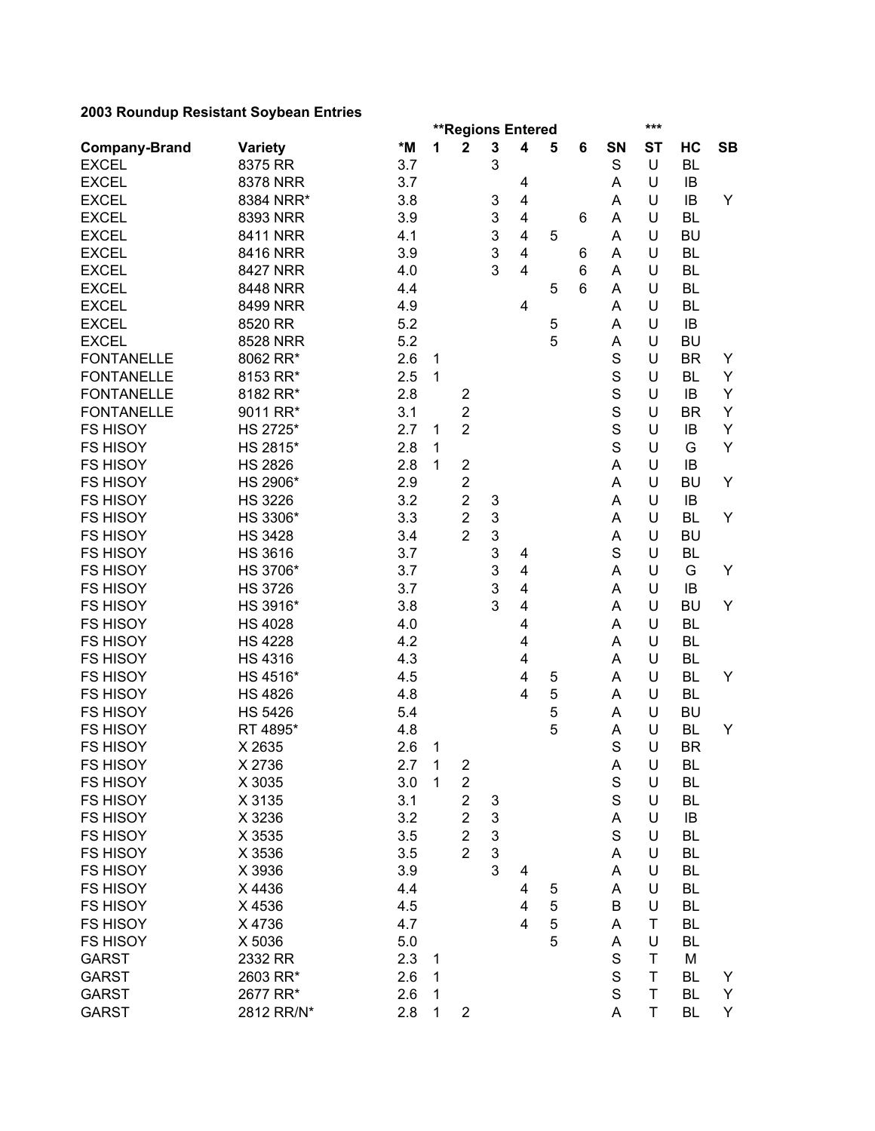|                      |                 |               |              | <b>**Regions Entered</b> |                           |                         |   |   |             | ***       |           |           |
|----------------------|-----------------|---------------|--------------|--------------------------|---------------------------|-------------------------|---|---|-------------|-----------|-----------|-----------|
| <b>Company-Brand</b> | <b>Variety</b>  | *M            | 1            | $\mathbf 2$              | 3                         | $\overline{\mathbf{4}}$ | 5 | 6 | SN          | <b>ST</b> | HC        | <b>SB</b> |
| <b>EXCEL</b>         | 8375 RR         | 3.7           |              |                          | 3                         |                         |   |   | $\mathbf S$ | U         | <b>BL</b> |           |
| <b>EXCEL</b>         | 8378 NRR        | 3.7           |              |                          |                           | 4                       |   |   | A           | U         | IB        |           |
| <b>EXCEL</b>         | 8384 NRR*       | 3.8           |              |                          | 3                         | 4                       |   |   | A           | U         | IB        | Y         |
| <b>EXCEL</b>         | 8393 NRR        | 3.9           |              |                          | 3                         | $\overline{\mathbf{4}}$ |   | 6 | A           | U         | <b>BL</b> |           |
| <b>EXCEL</b>         | 8411 NRR        | 4.1           |              |                          | 3                         | $\overline{\mathbf{4}}$ | 5 |   | A           | U         | <b>BU</b> |           |
| <b>EXCEL</b>         | 8416 NRR        | 3.9           |              |                          | 3                         | $\overline{\mathbf{4}}$ |   | 6 | A           | U         | <b>BL</b> |           |
| <b>EXCEL</b>         | <b>8427 NRR</b> | 4.0           |              |                          | 3                         | $\overline{\mathbf{4}}$ |   | 6 | Α           | U         | <b>BL</b> |           |
| <b>EXCEL</b>         | 8448 NRR        | 4.4           |              |                          |                           |                         | 5 | 6 | Α           | U         | <b>BL</b> |           |
| <b>EXCEL</b>         | 8499 NRR        | 4.9           |              |                          |                           | 4                       |   |   | A           | U         | <b>BL</b> |           |
| <b>EXCEL</b>         | 8520 RR         | 5.2           |              |                          |                           |                         | 5 |   | A           | U         | IB        |           |
| <b>EXCEL</b>         | 8528 NRR        | 5.2           |              |                          |                           |                         | 5 |   | A           | U         | <b>BU</b> |           |
| <b>FONTANELLE</b>    | 8062 RR*        | 2.6           | 1            |                          |                           |                         |   |   | S           | U         | <b>BR</b> | Y         |
| <b>FONTANELLE</b>    | 8153 RR*        | 2.5           | 1            |                          |                           |                         |   |   | S           | U         | BL        | Y         |
| <b>FONTANELLE</b>    | 8182 RR*        | 2.8           |              | $\overline{\mathbf{c}}$  |                           |                         |   |   | $\mathbf S$ | U         | IB        | Y         |
| <b>FONTANELLE</b>    | 9011 RR*        | 3.1           |              | $\overline{c}$           |                           |                         |   |   | $\mathbf S$ | U         | <b>BR</b> | Y         |
| <b>FS HISOY</b>      | HS 2725*        | 2.7           | 1            | $\overline{2}$           |                           |                         |   |   | S           | U         | IB        | Υ         |
|                      |                 | 2.8           |              |                          |                           |                         |   |   | S           | U         | G         | Y         |
| <b>FS HISOY</b>      | HS 2815*        |               | 1            |                          |                           |                         |   |   |             |           |           |           |
| <b>FS HISOY</b>      | <b>HS 2826</b>  | 2.8           | 1            | $\mathbf 2$              |                           |                         |   |   | A           | U         | IB        |           |
| <b>FS HISOY</b>      | HS 2906*        | 2.9           |              | $\overline{2}$           |                           |                         |   |   | Α           | U         | <b>BU</b> | Y         |
| <b>FS HISOY</b>      | <b>HS 3226</b>  | 3.2           |              | $\overline{2}$           | 3                         |                         |   |   | A           | U         | IB        |           |
| <b>FS HISOY</b>      | HS 3306*        | 3.3           |              | $\overline{2}$           | 3                         |                         |   |   | A           | U         | <b>BL</b> | Y         |
| <b>FS HISOY</b>      | <b>HS 3428</b>  | 3.4           |              | $\overline{2}$           | 3                         |                         |   |   | Α           | U         | <b>BU</b> |           |
| <b>FS HISOY</b>      | <b>HS 3616</b>  | 3.7           |              |                          | 3                         | 4                       |   |   | S           | U         | <b>BL</b> |           |
| <b>FS HISOY</b>      | HS 3706*        | 3.7           |              |                          | 3                         | $\overline{\mathbf{4}}$ |   |   | A           | U         | G         | Y         |
| <b>FS HISOY</b>      | <b>HS 3726</b>  | 3.7           |              |                          | 3                         | $\overline{\mathbf{4}}$ |   |   | A           | U         | IB        |           |
| <b>FS HISOY</b>      | HS 3916*        | 3.8           |              |                          | 3                         | $\overline{\mathbf{4}}$ |   |   | Α           | U         | BU        | Y         |
| <b>FS HISOY</b>      | <b>HS 4028</b>  | 4.0           |              |                          |                           | 4                       |   |   | Α           | U         | <b>BL</b> |           |
| <b>FS HISOY</b>      | <b>HS 4228</b>  | 4.2           |              |                          |                           | 4                       |   |   | A           | U         | <b>BL</b> |           |
| <b>FS HISOY</b>      | <b>HS 4316</b>  | 4.3           |              |                          |                           | 4                       |   |   | A           | U         | <b>BL</b> |           |
| <b>FS HISOY</b>      | HS 4516*        | 4.5           |              |                          |                           | 4                       | 5 |   | A           | U         | BL        | Y         |
| <b>FS HISOY</b>      | <b>HS 4826</b>  | 4.8           |              |                          |                           | $\overline{4}$          | 5 |   | A           | U         | <b>BL</b> |           |
| <b>FS HISOY</b>      | <b>HS 5426</b>  | 5.4           |              |                          |                           |                         | 5 |   | A           | U         | <b>BU</b> |           |
| <b>FS HISOY</b>      | RT 4895*        | 4.8           |              |                          |                           |                         | 5 |   | A           | U         | BL        | Y         |
| <b>FS HISOY</b>      | X 2635          | 2.6           | 1            |                          |                           |                         |   |   | S           | U         | <b>BR</b> |           |
| <b>FS HISOY</b>      | X 2736          | $2.7 \quad 1$ |              | $\overline{\mathbf{c}}$  |                           |                         |   |   | A           | U         | BL        |           |
| <b>FS HISOY</b>      | X 3035          | 3.0           | $\mathbf{1}$ | $\overline{\mathbf{c}}$  |                           |                         |   |   | $\mathbf S$ | U         | BL        |           |
| <b>FS HISOY</b>      | X 3135          | 3.1           |              | $\overline{\mathbf{c}}$  | 3                         |                         |   |   | $\mathbf S$ | U         | <b>BL</b> |           |
| <b>FS HISOY</b>      | X 3236          | 3.2           |              | $\overline{2}$           | 3                         |                         |   |   | Α           | U         | IB        |           |
| <b>FS HISOY</b>      | X 3535          | 3.5           |              | $\overline{2}$           | $\ensuremath{\mathsf{3}}$ |                         |   |   | $\mathbf S$ | U         | BL        |           |
| <b>FS HISOY</b>      | X 3536          | 3.5           |              | $\overline{2}$           | 3                         |                         |   |   | A           | U         | BL        |           |
| <b>FS HISOY</b>      | X 3936          | 3.9           |              |                          | 3                         | 4                       |   |   | A           | U         | BL        |           |
| <b>FS HISOY</b>      | X4436           | 4.4           |              |                          |                           | 4                       | 5 |   | Α           | U         | BL        |           |
| <b>FS HISOY</b>      | X4536           | 4.5           |              |                          |                           | $\overline{\mathbf{4}}$ | 5 |   | B           | U         | BL        |           |
| <b>FS HISOY</b>      | X4736           | 4.7           |              |                          |                           | $\overline{4}$          | 5 |   | A           | Τ         | BL        |           |
| <b>FS HISOY</b>      | X 5036          | 5.0           |              |                          |                           |                         | 5 |   | A           | U         | BL        |           |
| <b>GARST</b>         | 2332 RR         | 2.3           | 1            |                          |                           |                         |   |   | S           | Τ         | M         |           |
| <b>GARST</b>         | 2603 RR*        | 2.6           | 1            |                          |                           |                         |   |   | S           | Τ         | <b>BL</b> | Y         |
|                      |                 |               |              |                          |                           |                         |   |   | $\mathbf S$ | T         | <b>BL</b> | Y         |
| <b>GARST</b>         | 2677 RR*        | 2.6           | 1            |                          |                           |                         |   |   |             |           |           |           |
| <b>GARST</b>         | 2812 RR/N*      | 2.8           | 1            | $\overline{\mathbf{c}}$  |                           |                         |   |   | A           | T         | BL        | Y         |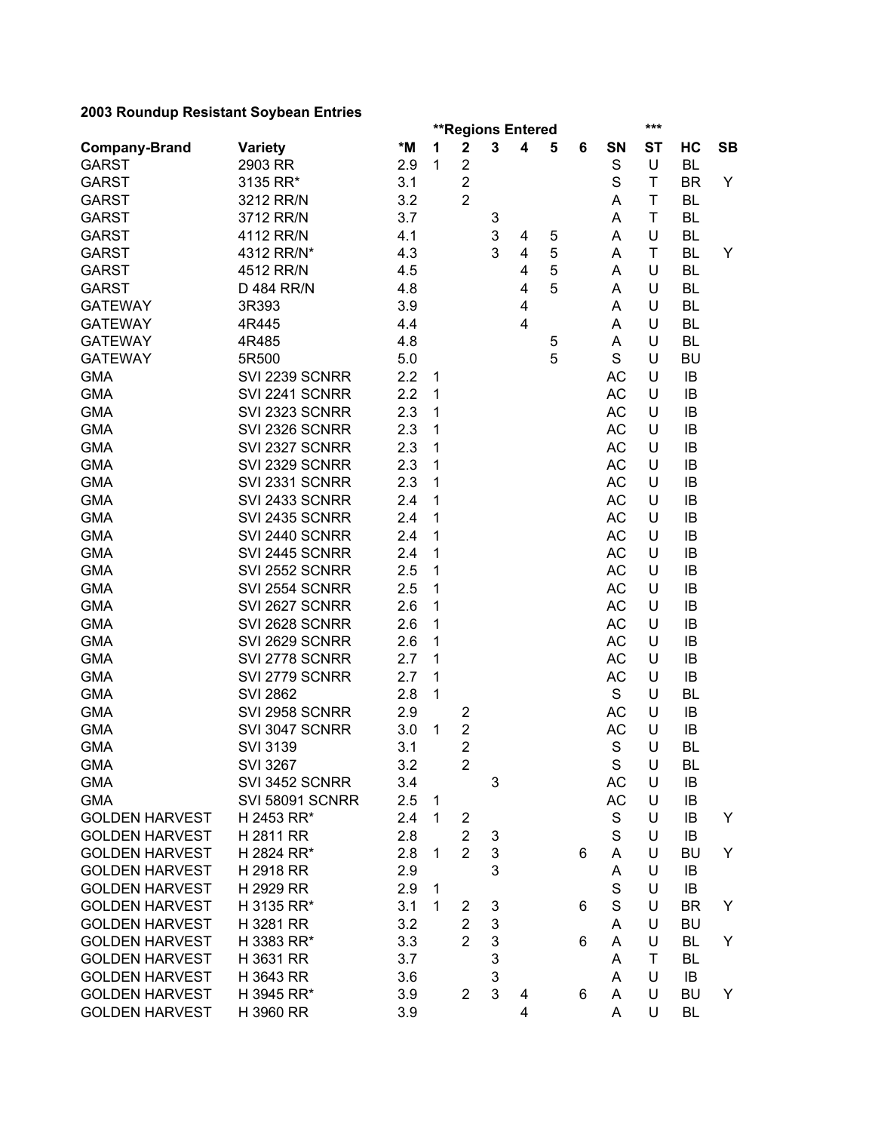|                       |                        |     |              | <b>**Regions Entered</b> |   |                         |   |   |             | ***       |           |           |
|-----------------------|------------------------|-----|--------------|--------------------------|---|-------------------------|---|---|-------------|-----------|-----------|-----------|
| <b>Company-Brand</b>  | <b>Variety</b>         | *M  | 1            | $\mathbf 2$              | 3 | 4                       | 5 | 6 | SN          | <b>ST</b> | HC        | <b>SB</b> |
| <b>GARST</b>          | 2903 RR                | 2.9 | 1            | $\overline{\mathbf{c}}$  |   |                         |   |   | $\mathbf S$ | U         | <b>BL</b> |           |
| <b>GARST</b>          | 3135 RR*               | 3.1 |              | $\overline{2}$           |   |                         |   |   | S           | T         | <b>BR</b> | Y         |
| <b>GARST</b>          | 3212 RR/N              | 3.2 |              | $\overline{2}$           |   |                         |   |   | Α           | T         | <b>BL</b> |           |
| <b>GARST</b>          | 3712 RR/N              | 3.7 |              |                          | 3 |                         |   |   | A           | T         | <b>BL</b> |           |
| <b>GARST</b>          | 4112 RR/N              | 4.1 |              |                          | 3 | 4                       | 5 |   | Α           | U         | <b>BL</b> |           |
| <b>GARST</b>          | 4312 RR/N*             | 4.3 |              |                          | 3 | $\overline{\mathbf{4}}$ | 5 |   | A           | Τ         | <b>BL</b> | Y         |
| <b>GARST</b>          | 4512 RR/N              | 4.5 |              |                          |   | 4                       | 5 |   | Α           | U         | <b>BL</b> |           |
| <b>GARST</b>          | D 484 RR/N             | 4.8 |              |                          |   | 4                       | 5 |   | Α           | U         | <b>BL</b> |           |
| <b>GATEWAY</b>        | 3R393                  | 3.9 |              |                          |   | 4                       |   |   | Α           | U         | <b>BL</b> |           |
| <b>GATEWAY</b>        | 4R445                  | 4.4 |              |                          |   | 4                       |   |   | A           | U         | <b>BL</b> |           |
| <b>GATEWAY</b>        | 4R485                  | 4.8 |              |                          |   |                         | 5 |   | A           | U         | <b>BL</b> |           |
| <b>GATEWAY</b>        | 5R500                  | 5.0 |              |                          |   |                         | 5 |   | S           | U         | <b>BU</b> |           |
| <b>GMA</b>            | SVI 2239 SCNRR         | 2.2 | 1            |                          |   |                         |   |   | AC          | U         | IB        |           |
| <b>GMA</b>            | SVI 2241 SCNRR         | 2.2 | 1            |                          |   |                         |   |   | AC          | U         | IB        |           |
| <b>GMA</b>            | SVI 2323 SCNRR         | 2.3 | 1            |                          |   |                         |   |   | AC          | U         | IB        |           |
| <b>GMA</b>            | SVI 2326 SCNRR         | 2.3 | 1            |                          |   |                         |   |   | <b>AC</b>   | U         | IB        |           |
| <b>GMA</b>            | SVI 2327 SCNRR         | 2.3 | 1            |                          |   |                         |   |   | <b>AC</b>   | U         | IB        |           |
| <b>GMA</b>            | SVI 2329 SCNRR         | 2.3 | 1            |                          |   |                         |   |   | <b>AC</b>   | U         | IB        |           |
| <b>GMA</b>            | SVI 2331 SCNRR         | 2.3 | 1            |                          |   |                         |   |   | AC          | U         | IB        |           |
| <b>GMA</b>            | SVI 2433 SCNRR         | 2.4 | 1            |                          |   |                         |   |   | <b>AC</b>   | U         | IB        |           |
| <b>GMA</b>            | SVI 2435 SCNRR         | 2.4 | 1            |                          |   |                         |   |   | <b>AC</b>   | U         | IB        |           |
| <b>GMA</b>            | SVI 2440 SCNRR         | 2.4 | 1            |                          |   |                         |   |   | AC          | U         | IB        |           |
| <b>GMA</b>            | SVI 2445 SCNRR         | 2.4 | 1            |                          |   |                         |   |   | AC          | U         | IB        |           |
| <b>GMA</b>            | SVI 2552 SCNRR         | 2.5 | 1            |                          |   |                         |   |   | <b>AC</b>   | U         | IB        |           |
| <b>GMA</b>            | SVI 2554 SCNRR         | 2.5 | 1            |                          |   |                         |   |   | <b>AC</b>   | U         | IB        |           |
| <b>GMA</b>            | SVI 2627 SCNRR         | 2.6 | 1            |                          |   |                         |   |   | <b>AC</b>   | U         | IB        |           |
| <b>GMA</b>            | SVI 2628 SCNRR         | 2.6 | 1            |                          |   |                         |   |   | AC          | U         | IB        |           |
| <b>GMA</b>            | SVI 2629 SCNRR         | 2.6 | 1            |                          |   |                         |   |   | AC          | U         | IB        |           |
| <b>GMA</b>            | SVI 2778 SCNRR         | 2.7 | 1            |                          |   |                         |   |   | AC          | U         | IB        |           |
| <b>GMA</b>            | SVI 2779 SCNRR         | 2.7 | 1            |                          |   |                         |   |   | AC          | U         | IB        |           |
| <b>GMA</b>            | <b>SVI 2862</b>        | 2.8 | 1            |                          |   |                         |   |   | S           | U         | <b>BL</b> |           |
| <b>GMA</b>            | SVI 2958 SCNRR         | 2.9 |              | $\overline{\mathbf{c}}$  |   |                         |   |   | AC          | U         | IB        |           |
| <b>GMA</b>            | SVI 3047 SCNRR         | 3.0 | 1            | $\overline{\mathbf{c}}$  |   |                         |   |   | <b>AC</b>   | U         | IB        |           |
| <b>GMA</b>            | <b>SVI 3139</b>        | 3.1 |              | $\overline{2}$           |   |                         |   |   | $\mathbf S$ | U         | <b>BL</b> |           |
| <b>GMA</b>            | <b>SVI 3267</b>        | 3.2 |              | $\overline{2}$           |   |                         |   |   | $\mathsf S$ | $\sf U$   | BL        |           |
| <b>GMA</b>            | SVI 3452 SCNRR         | 3.4 |              |                          | 3 |                         |   |   | AC          | U         | IB        |           |
| <b>GMA</b>            | <b>SVI 58091 SCNRR</b> | 2.5 | $\mathbf{1}$ |                          |   |                         |   |   | AC          | U         | IB        |           |
| <b>GOLDEN HARVEST</b> | H 2453 RR*             | 2.4 | 1            | $\overline{2}$           |   |                         |   |   | S           | U         | IB        | Y         |
| <b>GOLDEN HARVEST</b> | H 2811 RR              | 2.8 |              | $\overline{2}$           | 3 |                         |   |   | S           | U         | IB        |           |
| <b>GOLDEN HARVEST</b> | H 2824 RR*             | 2.8 | 1            | $\overline{2}$           | 3 |                         |   | 6 | A           | U         | <b>BU</b> | Y         |
| <b>GOLDEN HARVEST</b> | H 2918 RR              | 2.9 |              |                          | 3 |                         |   |   | Α           | U         | IB        |           |
| <b>GOLDEN HARVEST</b> | H 2929 RR              | 2.9 | 1            |                          |   |                         |   |   | $\mathbf S$ | U         | IB        |           |
| <b>GOLDEN HARVEST</b> | H 3135 RR*             | 3.1 | 1            | 2                        | 3 |                         |   | 6 | S           | U         | <b>BR</b> | Y         |
| <b>GOLDEN HARVEST</b> | H 3281 RR              | 3.2 |              | $\overline{2}$           | 3 |                         |   |   | A           | U         | <b>BU</b> |           |
| <b>GOLDEN HARVEST</b> | H 3383 RR*             | 3.3 |              | $\overline{2}$           | 3 |                         |   | 6 | A           | U         | <b>BL</b> | Y         |
| <b>GOLDEN HARVEST</b> | H 3631 RR              | 3.7 |              |                          | 3 |                         |   |   | A           | Τ         | <b>BL</b> |           |
| <b>GOLDEN HARVEST</b> | H 3643 RR              | 3.6 |              |                          | 3 |                         |   |   | A           | U         | IB        |           |
| <b>GOLDEN HARVEST</b> | H 3945 RR*             | 3.9 |              | $\overline{2}$           | 3 | 4                       |   | 6 | A           | U         | <b>BU</b> | Y         |
| <b>GOLDEN HARVEST</b> | H 3960 RR              | 3.9 |              |                          |   | 4                       |   |   | A           | U         | BL        |           |
|                       |                        |     |              |                          |   |                         |   |   |             |           |           |           |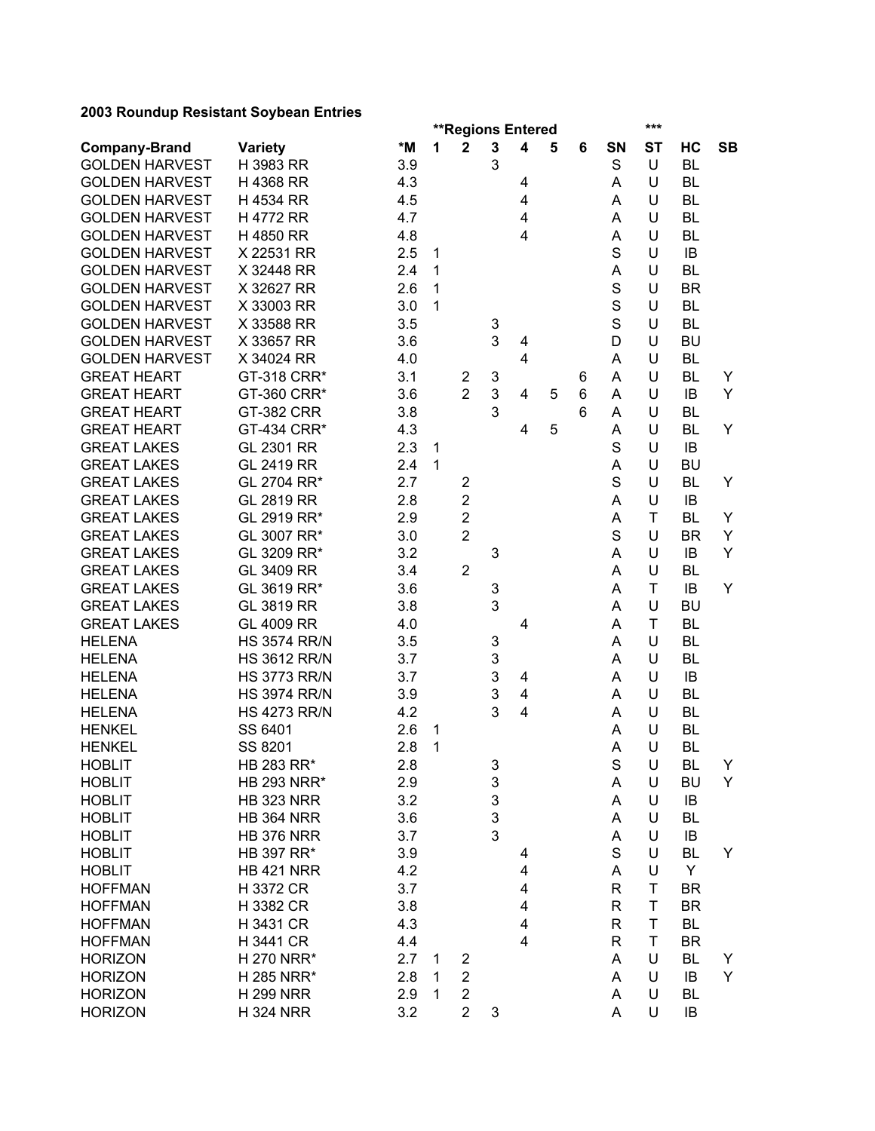|                       |                     |     |              |                         | <b>**Regions Entered</b> |   |   |   |    | ***       |           |           |
|-----------------------|---------------------|-----|--------------|-------------------------|--------------------------|---|---|---|----|-----------|-----------|-----------|
| <b>Company-Brand</b>  | <b>Variety</b>      | *M  | 1            | $\mathbf 2$             | $\mathbf 3$              | 4 | 5 | 6 | SN | <b>ST</b> | НC        | <b>SB</b> |
| <b>GOLDEN HARVEST</b> | H 3983 RR           | 3.9 |              |                         | 3                        |   |   |   | S  | U         | <b>BL</b> |           |
| <b>GOLDEN HARVEST</b> | H 4368 RR           | 4.3 |              |                         |                          | 4 |   |   | A  | U         | <b>BL</b> |           |
| <b>GOLDEN HARVEST</b> | H 4534 RR           | 4.5 |              |                         |                          | 4 |   |   | Α  | U         | <b>BL</b> |           |
| <b>GOLDEN HARVEST</b> | <b>H4772 RR</b>     | 4.7 |              |                         |                          | 4 |   |   | Α  | U         | <b>BL</b> |           |
| <b>GOLDEN HARVEST</b> | H 4850 RR           | 4.8 |              |                         |                          | 4 |   |   | Α  | U         | <b>BL</b> |           |
| <b>GOLDEN HARVEST</b> | X 22531 RR          | 2.5 | $\mathbf{1}$ |                         |                          |   |   |   | S  | U         | IB        |           |
| <b>GOLDEN HARVEST</b> | X 32448 RR          | 2.4 | 1            |                         |                          |   |   |   | Α  | U         | <b>BL</b> |           |
| <b>GOLDEN HARVEST</b> | X 32627 RR          | 2.6 | 1            |                         |                          |   |   |   | S  | U         | <b>BR</b> |           |
| <b>GOLDEN HARVEST</b> | X 33003 RR          | 3.0 | 1            |                         |                          |   |   |   | S  | U         | <b>BL</b> |           |
| <b>GOLDEN HARVEST</b> | X 33588 RR          | 3.5 |              |                         | 3                        |   |   |   | S  | U         | <b>BL</b> |           |
| <b>GOLDEN HARVEST</b> | X 33657 RR          | 3.6 |              |                         | 3                        | 4 |   |   | D  | U         | <b>BU</b> |           |
| <b>GOLDEN HARVEST</b> | X 34024 RR          | 4.0 |              |                         |                          | 4 |   |   | A  | U         | <b>BL</b> |           |
| <b>GREAT HEART</b>    | GT-318 CRR*         | 3.1 |              | $\mathbf{2}$            | 3                        |   |   | 6 | A  | U         | <b>BL</b> | Y         |
| <b>GREAT HEART</b>    | GT-360 CRR*         | 3.6 |              | $\overline{2}$          | 3                        | 4 | 5 | 6 | A  | U         | IB        | Y         |
| <b>GREAT HEART</b>    | <b>GT-382 CRR</b>   | 3.8 |              |                         | 3                        |   |   | 6 | A  | U         | <b>BL</b> |           |
| <b>GREAT HEART</b>    | GT-434 CRR*         | 4.3 |              |                         |                          | 4 | 5 |   | A  | U         | <b>BL</b> | Y         |
| <b>GREAT LAKES</b>    | GL 2301 RR          | 2.3 | $\mathbf{1}$ |                         |                          |   |   |   | S  | U         | IB        |           |
| <b>GREAT LAKES</b>    | GL 2419 RR          | 2.4 | $\mathbf{1}$ |                         |                          |   |   |   | A  | U         | <b>BU</b> |           |
| <b>GREAT LAKES</b>    | GL 2704 RR*         | 2.7 |              | $\overline{\mathbf{c}}$ |                          |   |   |   | S  | U         | <b>BL</b> | Y         |
| <b>GREAT LAKES</b>    | <b>GL 2819 RR</b>   | 2.8 |              | $\overline{2}$          |                          |   |   |   | A  | U         | IB        |           |
| <b>GREAT LAKES</b>    | GL 2919 RR*         | 2.9 |              | $\overline{2}$          |                          |   |   |   | A  | T         | <b>BL</b> | Y         |
| <b>GREAT LAKES</b>    | GL 3007 RR*         | 3.0 |              | $\overline{2}$          |                          |   |   |   | S  | U         | <b>BR</b> | Y         |
| <b>GREAT LAKES</b>    | GL 3209 RR*         | 3.2 |              |                         | 3                        |   |   |   | A  | U         | IB        | Y         |
| <b>GREAT LAKES</b>    | GL 3409 RR          | 3.4 |              | $\overline{2}$          |                          |   |   |   | Α  | U         | <b>BL</b> |           |
| <b>GREAT LAKES</b>    | GL 3619 RR*         | 3.6 |              |                         | 3                        |   |   |   | A  | T         | IB        | Y         |
| <b>GREAT LAKES</b>    | GL 3819 RR          | 3.8 |              |                         | 3                        |   |   |   | Α  | U         | <b>BU</b> |           |
| <b>GREAT LAKES</b>    | GL 4009 RR          | 4.0 |              |                         |                          | 4 |   |   | A  | T         | <b>BL</b> |           |
| <b>HELENA</b>         | <b>HS 3574 RR/N</b> | 3.5 |              |                         | 3                        |   |   |   | A  | U         | <b>BL</b> |           |
| <b>HELENA</b>         | <b>HS 3612 RR/N</b> | 3.7 |              |                         | 3                        |   |   |   | A  | U         | <b>BL</b> |           |
| <b>HELENA</b>         | <b>HS 3773 RR/N</b> | 3.7 |              |                         | 3                        | 4 |   |   | A  | U         | IB        |           |
| <b>HELENA</b>         | <b>HS 3974 RR/N</b> | 3.9 |              |                         | 3                        | 4 |   |   | A  | U         | <b>BL</b> |           |
| <b>HELENA</b>         | <b>HS 4273 RR/N</b> | 4.2 |              |                         | 3                        | 4 |   |   | A  | U         | <b>BL</b> |           |
| <b>HENKEL</b>         | SS 6401             | 2.6 | 1            |                         |                          |   |   |   | A  | U         | <b>BL</b> |           |
| <b>HENKEL</b>         | SS 8201             | 2.8 | $\mathbf{1}$ |                         |                          |   |   |   | A  | U         | <b>BL</b> |           |
| <b>HOBLIT</b>         | HB 283 RR*          | 2.8 |              |                         | 3                        |   |   |   | S  | U         | <b>BL</b> | Y         |
| <b>HOBLIT</b>         | <b>HB 293 NRR*</b>  | 2.9 |              |                         | 3                        |   |   |   | Α  | U         | BU        | Y         |
| <b>HOBLIT</b>         | <b>HB 323 NRR</b>   | 3.2 |              |                         | 3                        |   |   |   | A  | U         | IB        |           |
| <b>HOBLIT</b>         | <b>HB 364 NRR</b>   | 3.6 |              |                         | 3                        |   |   |   | A  | U         | BL        |           |
| <b>HOBLIT</b>         | <b>HB 376 NRR</b>   | 3.7 |              |                         | 3                        |   |   |   | Α  | U         | IB        |           |
| <b>HOBLIT</b>         | HB 397 RR*          | 3.9 |              |                         |                          | 4 |   |   | S  | U         | <b>BL</b> | Y         |
| <b>HOBLIT</b>         | <b>HB 421 NRR</b>   | 4.2 |              |                         |                          | 4 |   |   | A  | U         | Y         |           |
| <b>HOFFMAN</b>        | H 3372 CR           | 3.7 |              |                         |                          | 4 |   |   | R  | T         | <b>BR</b> |           |
| <b>HOFFMAN</b>        | H 3382 CR           | 3.8 |              |                         |                          | 4 |   |   | R  | T         | <b>BR</b> |           |
| <b>HOFFMAN</b>        | H 3431 CR           | 4.3 |              |                         |                          | 4 |   |   | R  | T         | BL        |           |
| <b>HOFFMAN</b>        | H 3441 CR           | 4.4 |              |                         |                          | 4 |   |   | R  | T         | <b>BR</b> |           |
| <b>HORIZON</b>        | H 270 NRR*          | 2.7 | 1            | 2                       |                          |   |   |   | A  | U         | <b>BL</b> | Y         |
| <b>HORIZON</b>        | H 285 NRR*          | 2.8 | 1            | $\overline{\mathbf{c}}$ |                          |   |   |   | A  | U         | IB        | Y         |
| <b>HORIZON</b>        | <b>H 299 NRR</b>    | 2.9 | $\mathbf{1}$ | $\overline{\mathbf{c}}$ |                          |   |   |   | A  | U         | <b>BL</b> |           |
| <b>HORIZON</b>        | <b>H 324 NRR</b>    | 3.2 |              | $\overline{2}$          | 3                        |   |   |   | A  | U         | IB        |           |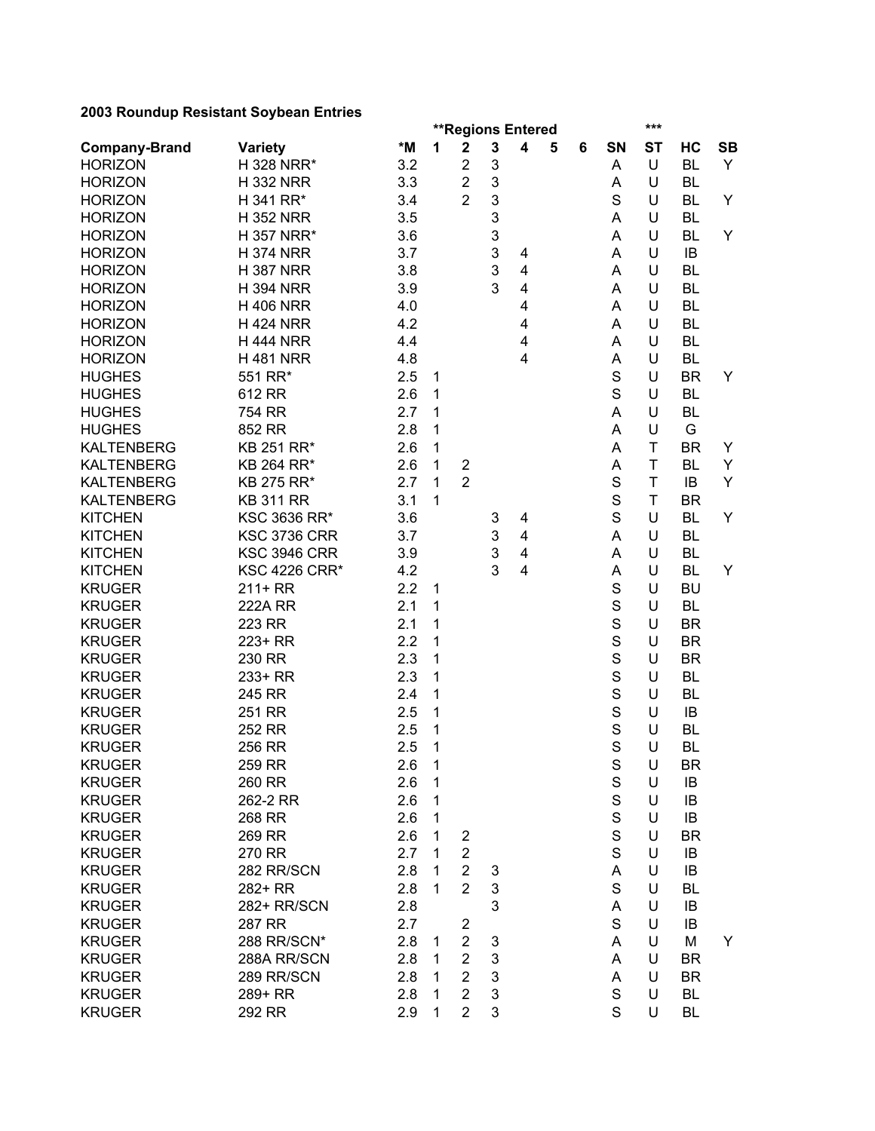|                      |                      |     |   |                         |              | <b>**Regions Entered</b> |   |   |             | ***       |           |           |
|----------------------|----------------------|-----|---|-------------------------|--------------|--------------------------|---|---|-------------|-----------|-----------|-----------|
| <b>Company-Brand</b> | <b>Variety</b>       | *M  | 1 | $\mathbf 2$             | $\mathbf{3}$ | $\overline{\mathbf{4}}$  | 5 | 6 | SΝ          | <b>ST</b> | HC        | <b>SB</b> |
| <b>HORIZON</b>       | H 328 NRR*           | 3.2 |   | $\overline{2}$          | 3            |                          |   |   | Α           | U         | <b>BL</b> | Y         |
| <b>HORIZON</b>       | <b>H332 NRR</b>      | 3.3 |   | $\overline{2}$          | 3            |                          |   |   | Α           | U         | <b>BL</b> |           |
| <b>HORIZON</b>       | H 341 RR*            | 3.4 |   | $\overline{2}$          | 3            |                          |   |   | S           | U         | <b>BL</b> | Y         |
| <b>HORIZON</b>       | <b>H352 NRR</b>      | 3.5 |   |                         | 3            |                          |   |   | A           | U         | <b>BL</b> |           |
| <b>HORIZON</b>       | H 357 NRR*           | 3.6 |   |                         | 3            |                          |   |   | A           | U         | <b>BL</b> | Y         |
| <b>HORIZON</b>       | <b>H 374 NRR</b>     | 3.7 |   |                         | 3            | 4                        |   |   | A           | U         | IB        |           |
| <b>HORIZON</b>       | <b>H387 NRR</b>      | 3.8 |   |                         | 3            | $\overline{\mathbf{4}}$  |   |   | Α           | U         | <b>BL</b> |           |
| <b>HORIZON</b>       | <b>H 394 NRR</b>     | 3.9 |   |                         | 3            | $\overline{\mathbf{4}}$  |   |   | A           | U         | <b>BL</b> |           |
| <b>HORIZON</b>       | <b>H 406 NRR</b>     | 4.0 |   |                         |              | $\overline{\mathbf{4}}$  |   |   | A           | U         | <b>BL</b> |           |
| <b>HORIZON</b>       | <b>H 424 NRR</b>     | 4.2 |   |                         |              | 4                        |   |   | A           | U         | <b>BL</b> |           |
| <b>HORIZON</b>       | <b>H 444 NRR</b>     | 4.4 |   |                         |              | 4                        |   |   | A           | U         | <b>BL</b> |           |
| <b>HORIZON</b>       | <b>H481 NRR</b>      | 4.8 |   |                         |              | $\overline{\mathbf{4}}$  |   |   | A           | U         | <b>BL</b> |           |
| <b>HUGHES</b>        | 551 RR*              | 2.5 | 1 |                         |              |                          |   |   | S           | U         | <b>BR</b> | Y         |
| <b>HUGHES</b>        | 612 RR               | 2.6 | 1 |                         |              |                          |   |   | S           | U         | <b>BL</b> |           |
| <b>HUGHES</b>        | 754 RR               | 2.7 | 1 |                         |              |                          |   |   | Α           | U         | <b>BL</b> |           |
| <b>HUGHES</b>        | 852 RR               | 2.8 | 1 |                         |              |                          |   |   | A           | U         | G         |           |
| <b>KALTENBERG</b>    | KB 251 RR*           | 2.6 | 1 |                         |              |                          |   |   | A           | T         | <b>BR</b> | Y         |
| <b>KALTENBERG</b>    | KB 264 RR*           | 2.6 | 1 | $\mathbf 2$             |              |                          |   |   | A           | T         | <b>BL</b> | Y         |
| <b>KALTENBERG</b>    | KB 275 RR*           | 2.7 | 1 | $\overline{2}$          |              |                          |   |   | $\mathbf S$ | T         | IB        | Υ         |
| <b>KALTENBERG</b>    | <b>KB 311 RR</b>     | 3.1 | 1 |                         |              |                          |   |   | $\mathbf S$ | T         | <b>BR</b> |           |
| <b>KITCHEN</b>       | KSC 3636 RR*         | 3.6 |   |                         | 3            | 4                        |   |   | S           | U         | <b>BL</b> | Υ         |
| <b>KITCHEN</b>       | <b>KSC 3736 CRR</b>  | 3.7 |   |                         | 3            | $\overline{\mathbf{4}}$  |   |   | A           | U         | <b>BL</b> |           |
| <b>KITCHEN</b>       | <b>KSC 3946 CRR</b>  | 3.9 |   |                         | 3            | $\overline{4}$           |   |   | A           | U         | <b>BL</b> |           |
| <b>KITCHEN</b>       | <b>KSC 4226 CRR*</b> | 4.2 |   |                         | 3            | $\overline{4}$           |   |   | A           | U         | <b>BL</b> | Y         |
| <b>KRUGER</b>        | $211+RR$             | 2.2 | 1 |                         |              |                          |   |   | $\mathbf S$ | U         | <b>BU</b> |           |
| <b>KRUGER</b>        | <b>222A RR</b>       | 2.1 | 1 |                         |              |                          |   |   | S           | U         | <b>BL</b> |           |
| <b>KRUGER</b>        | 223 RR               | 2.1 | 1 |                         |              |                          |   |   | S           | U         | <b>BR</b> |           |
| <b>KRUGER</b>        | 223+ RR              | 2.2 | 1 |                         |              |                          |   |   | S           | U         | <b>BR</b> |           |
| <b>KRUGER</b>        | 230 RR               | 2.3 | 1 |                         |              |                          |   |   | S           | U         | <b>BR</b> |           |
| <b>KRUGER</b>        | 233+ RR              | 2.3 | 1 |                         |              |                          |   |   | S           | U         | <b>BL</b> |           |
| <b>KRUGER</b>        | 245 RR               | 2.4 | 1 |                         |              |                          |   |   | S           | U         | <b>BL</b> |           |
| <b>KRUGER</b>        | 251 RR               | 2.5 | 1 |                         |              |                          |   |   | S           | U         | IB        |           |
| <b>KRUGER</b>        | 252 RR               | 2.5 | 1 |                         |              |                          |   |   | S           | U         | <b>BL</b> |           |
| <b>KRUGER</b>        | 256 RR               | 2.5 | 1 |                         |              |                          |   |   | S           | U         | <b>BL</b> |           |
| <b>KRUGER</b>        | 259 RR               | 2.6 | 1 |                         |              |                          |   |   | $\mathbf S$ | U         | <b>BR</b> |           |
| <b>KRUGER</b>        | 260 RR               | 2.6 | 1 |                         |              |                          |   |   | $\mathbf S$ | U         | IB        |           |
| <b>KRUGER</b>        | 262-2 RR             | 2.6 | 1 |                         |              |                          |   |   | $\mathbf S$ | U         | IB        |           |
| <b>KRUGER</b>        | 268 RR               | 2.6 | 1 |                         |              |                          |   |   | $\mathbf S$ | U         | IB        |           |
| <b>KRUGER</b>        | 269 RR               | 2.6 | 1 | $\overline{\mathbf{c}}$ |              |                          |   |   | $\mathbf S$ | U         | <b>BR</b> |           |
| <b>KRUGER</b>        | 270 RR               | 2.7 | 1 | $\overline{2}$          |              |                          |   |   | S           | U         | IB        |           |
| <b>KRUGER</b>        | 282 RR/SCN           | 2.8 | 1 | $\overline{2}$          | 3            |                          |   |   | A           | U         | IB        |           |
| <b>KRUGER</b>        | 282+ RR              | 2.8 | 1 | $\overline{2}$          | 3            |                          |   |   | S           | U         | BL        |           |
| <b>KRUGER</b>        | 282+ RR/SCN          | 2.8 |   |                         | 3            |                          |   |   | A           | U         | IB        |           |
| <b>KRUGER</b>        | 287 RR               | 2.7 |   | $\overline{2}$          |              |                          |   |   | S           | U         | IB        |           |
| <b>KRUGER</b>        | 288 RR/SCN*          | 2.8 | 1 | $\overline{2}$          | 3            |                          |   |   | A           | U         | M         | Y         |
| <b>KRUGER</b>        | 288A RR/SCN          | 2.8 | 1 | $\overline{2}$          | 3            |                          |   |   | A           | U         | BR        |           |
| <b>KRUGER</b>        | 289 RR/SCN           | 2.8 | 1 | $\overline{2}$          | 3            |                          |   |   | A           | U         | <b>BR</b> |           |
| <b>KRUGER</b>        | 289+ RR              | 2.8 | 1 | $\overline{2}$          | 3            |                          |   |   | S           | U         | BL        |           |
| <b>KRUGER</b>        | 292 RR               | 2.9 | 1 | $\overline{2}$          | 3            |                          |   |   | S           | U         | BL        |           |
|                      |                      |     |   |                         |              |                          |   |   |             |           |           |           |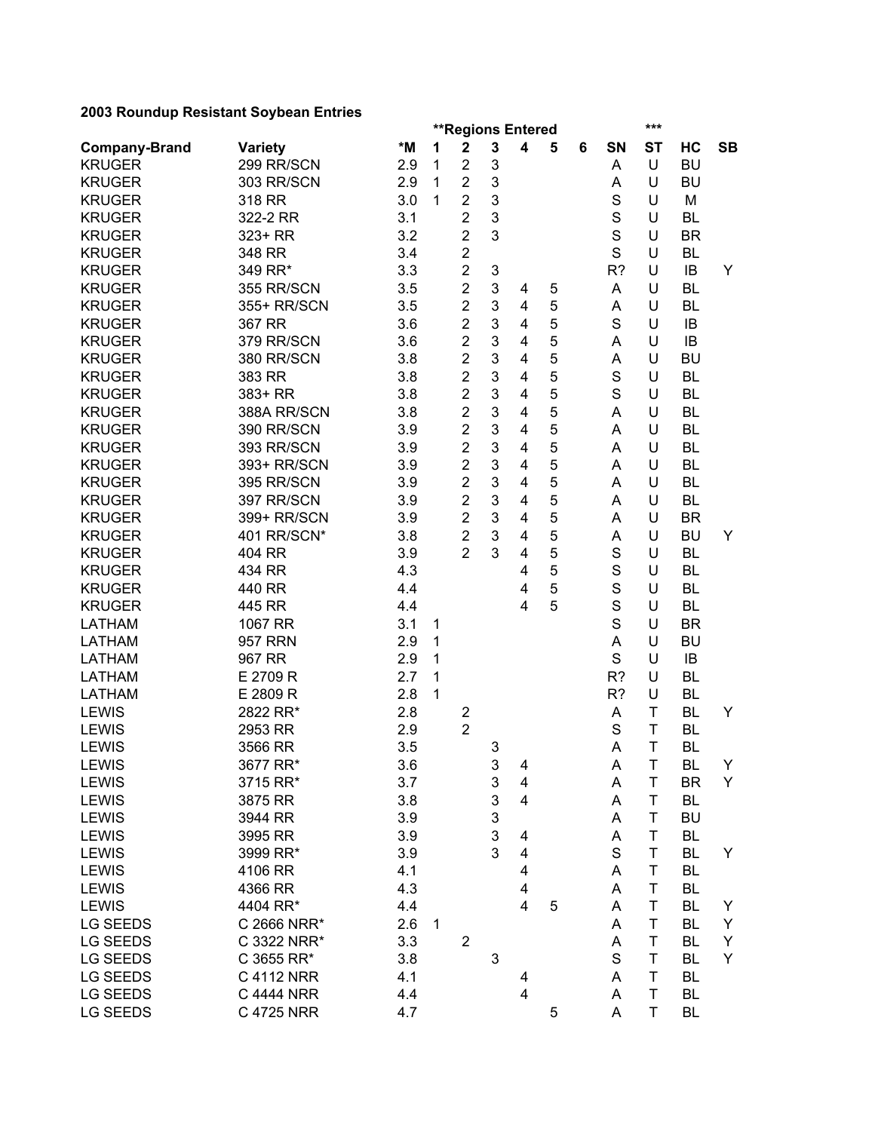|                      |                |     |   |                | <b>**Regions Entered</b> |                         |   |   |             | ***         |           |           |
|----------------------|----------------|-----|---|----------------|--------------------------|-------------------------|---|---|-------------|-------------|-----------|-----------|
| <b>Company-Brand</b> | <b>Variety</b> | *M  | 1 | $\mathbf 2$    | $\mathbf 3$              | $\overline{\mathbf{4}}$ | 5 | 6 | SΝ          | <b>ST</b>   | НC        | <b>SB</b> |
| <b>KRUGER</b>        | 299 RR/SCN     | 2.9 | 1 | $\overline{2}$ | 3                        |                         |   |   | A           | U           | <b>BU</b> |           |
| <b>KRUGER</b>        | 303 RR/SCN     | 2.9 | 1 | $\overline{2}$ | 3                        |                         |   |   | A           | U           | <b>BU</b> |           |
| <b>KRUGER</b>        | 318 RR         | 3.0 | 1 | $\overline{2}$ | 3                        |                         |   |   | $\mathbf S$ | U           | M         |           |
| <b>KRUGER</b>        | 322-2 RR       | 3.1 |   | $\overline{2}$ | 3                        |                         |   |   | S           | U           | <b>BL</b> |           |
| <b>KRUGER</b>        | 323+ RR        | 3.2 |   | $\overline{2}$ | 3                        |                         |   |   | $\mathbf S$ | U           | <b>BR</b> |           |
| <b>KRUGER</b>        | 348 RR         | 3.4 |   | $\overline{2}$ |                          |                         |   |   | S           | U           | <b>BL</b> |           |
| <b>KRUGER</b>        | 349 RR*        | 3.3 |   | $\overline{2}$ | 3                        |                         |   |   | R?          | U           | IB        | Y         |
| <b>KRUGER</b>        | 355 RR/SCN     | 3.5 |   | $\overline{2}$ | 3                        | 4                       | 5 |   | A           | U           | <b>BL</b> |           |
| <b>KRUGER</b>        | 355+ RR/SCN    | 3.5 |   | $\overline{2}$ | 3                        | $\overline{\mathbf{4}}$ | 5 |   | A           | U           | <b>BL</b> |           |
| <b>KRUGER</b>        | 367 RR         | 3.6 |   | $\overline{2}$ | 3                        | 4                       | 5 |   | S           | U           | IB        |           |
| <b>KRUGER</b>        | 379 RR/SCN     | 3.6 |   | $\overline{2}$ | 3                        | 4                       | 5 |   | A           | U           | IB        |           |
| <b>KRUGER</b>        | 380 RR/SCN     | 3.8 |   | $\overline{2}$ | 3                        | 4                       | 5 |   | A           | U           | <b>BU</b> |           |
| <b>KRUGER</b>        | 383 RR         | 3.8 |   | $\overline{2}$ | 3                        | 4                       | 5 |   | S           | U           | <b>BL</b> |           |
| <b>KRUGER</b>        | 383+ RR        | 3.8 |   | $\overline{2}$ | 3                        | 4                       | 5 |   | S           | U           | <b>BL</b> |           |
| <b>KRUGER</b>        | 388A RR/SCN    | 3.8 |   | $\overline{2}$ | 3                        | 4                       | 5 |   | Α           | U           | <b>BL</b> |           |
| <b>KRUGER</b>        | 390 RR/SCN     | 3.9 |   | $\overline{c}$ | 3                        | 4                       | 5 |   | Α           | U           | <b>BL</b> |           |
| <b>KRUGER</b>        | 393 RR/SCN     | 3.9 |   | $\overline{2}$ | 3                        | 4                       | 5 |   | Α           | U           | <b>BL</b> |           |
| <b>KRUGER</b>        | 393+ RR/SCN    | 3.9 |   | $\overline{2}$ | 3                        | 4                       | 5 |   | Α           | U           | <b>BL</b> |           |
| <b>KRUGER</b>        | 395 RR/SCN     | 3.9 |   | $\overline{2}$ | 3                        | 4                       | 5 |   | Α           | U           | <b>BL</b> |           |
| <b>KRUGER</b>        | 397 RR/SCN     | 3.9 |   | $\overline{2}$ | 3                        | 4                       | 5 |   | Α           | U           | <b>BL</b> |           |
| <b>KRUGER</b>        | 399+ RR/SCN    | 3.9 |   | $\overline{2}$ | 3                        | 4                       | 5 |   | A           | U           | <b>BR</b> |           |
| <b>KRUGER</b>        | 401 RR/SCN*    | 3.8 |   | $\overline{2}$ | 3                        | 4                       | 5 |   | A           | U           | <b>BU</b> | Y         |
| <b>KRUGER</b>        | 404 RR         | 3.9 |   | $\overline{2}$ | 3                        | 4                       | 5 |   | S           | U           | <b>BL</b> |           |
| <b>KRUGER</b>        | 434 RR         | 4.3 |   |                |                          | 4                       | 5 |   | $\mathbf S$ | U           | <b>BL</b> |           |
| <b>KRUGER</b>        | 440 RR         | 4.4 |   |                |                          | 4                       | 5 |   | S           | U           | <b>BL</b> |           |
| <b>KRUGER</b>        | 445 RR         | 4.4 |   |                |                          | $\overline{4}$          | 5 |   | S           | U           | <b>BL</b> |           |
| <b>LATHAM</b>        | 1067 RR        | 3.1 | 1 |                |                          |                         |   |   | S           | U           | <b>BR</b> |           |
| <b>LATHAM</b>        | <b>957 RRN</b> | 2.9 | 1 |                |                          |                         |   |   | Α           | U           | <b>BU</b> |           |
| <b>LATHAM</b>        | 967 RR         | 2.9 | 1 |                |                          |                         |   |   | S           | U           | IB        |           |
| <b>LATHAM</b>        | E 2709 R       | 2.7 | 1 |                |                          |                         |   |   | R?          | U           | <b>BL</b> |           |
| <b>LATHAM</b>        | E 2809 R       | 2.8 | 1 |                |                          |                         |   |   | R?          | U           | <b>BL</b> |           |
| <b>LEWIS</b>         | 2822 RR*       | 2.8 |   | $\overline{c}$ |                          |                         |   |   | A           | T           | <b>BL</b> | Y         |
| <b>LEWIS</b>         | 2953 RR        | 2.9 |   | $\overline{2}$ |                          |                         |   |   | S           | T           | <b>BL</b> |           |
| <b>LEWIS</b>         | 3566 RR        | 3.5 |   |                | 3                        |                         |   |   | A           | T           | <b>BL</b> |           |
| <b>LEWIS</b>         | 3677 RR*       | 3.6 |   |                | 3                        | 4                       |   |   | A           | $\mathsf T$ | <b>BL</b> | Y         |
| <b>LEWIS</b>         | 3715 RR*       | 3.7 |   |                | 3                        | 4                       |   |   | Α           | T           | <b>BR</b> | Y         |
| <b>LEWIS</b>         | 3875 RR        | 3.8 |   |                | 3                        | $\overline{\mathbf{4}}$ |   |   | A           | T           | <b>BL</b> |           |
| <b>LEWIS</b>         | 3944 RR        | 3.9 |   |                | 3                        |                         |   |   | Α           | T           | <b>BU</b> |           |
| <b>LEWIS</b>         | 3995 RR        | 3.9 |   |                | 3                        | 4                       |   |   | A           | $\mathsf T$ | <b>BL</b> |           |
| <b>LEWIS</b>         | 3999 RR*       | 3.9 |   |                | 3                        | $\overline{\mathbf{4}}$ |   |   | S           | T           | <b>BL</b> | Y         |
| <b>LEWIS</b>         | 4106 RR        | 4.1 |   |                |                          | 4                       |   |   | A           | Τ           | BL        |           |
| <b>LEWIS</b>         | 4366 RR        |     |   |                |                          |                         |   |   |             | T           | <b>BL</b> |           |
|                      | 4404 RR*       | 4.3 |   |                |                          | 4<br>4                  |   |   | Α           | T           |           |           |
| <b>LEWIS</b>         |                | 4.4 |   |                |                          |                         | 5 |   | A           |             | BL        | Y         |
| LG SEEDS             | C 2666 NRR*    | 2.6 | 1 |                |                          |                         |   |   | A           | $\mathsf T$ | BL        | Y         |
| LG SEEDS             | C 3322 NRR*    | 3.3 |   | $\overline{2}$ |                          |                         |   |   | A           | T           | <b>BL</b> | Y         |
| LG SEEDS             | C 3655 RR*     | 3.8 |   |                | 3                        |                         |   |   | S           | T           | BL        | Y         |
| LG SEEDS             | C 4112 NRR     | 4.1 |   |                |                          | 4                       |   |   | Α           | $\mathsf T$ | BL        |           |
| LG SEEDS             | C 4444 NRR     | 4.4 |   |                |                          | 4                       |   |   | A           | $\sf T$     | BL        |           |
| <b>LG SEEDS</b>      | C 4725 NRR     | 4.7 |   |                |                          |                         | 5 |   | A           | $\mathsf T$ | <b>BL</b> |           |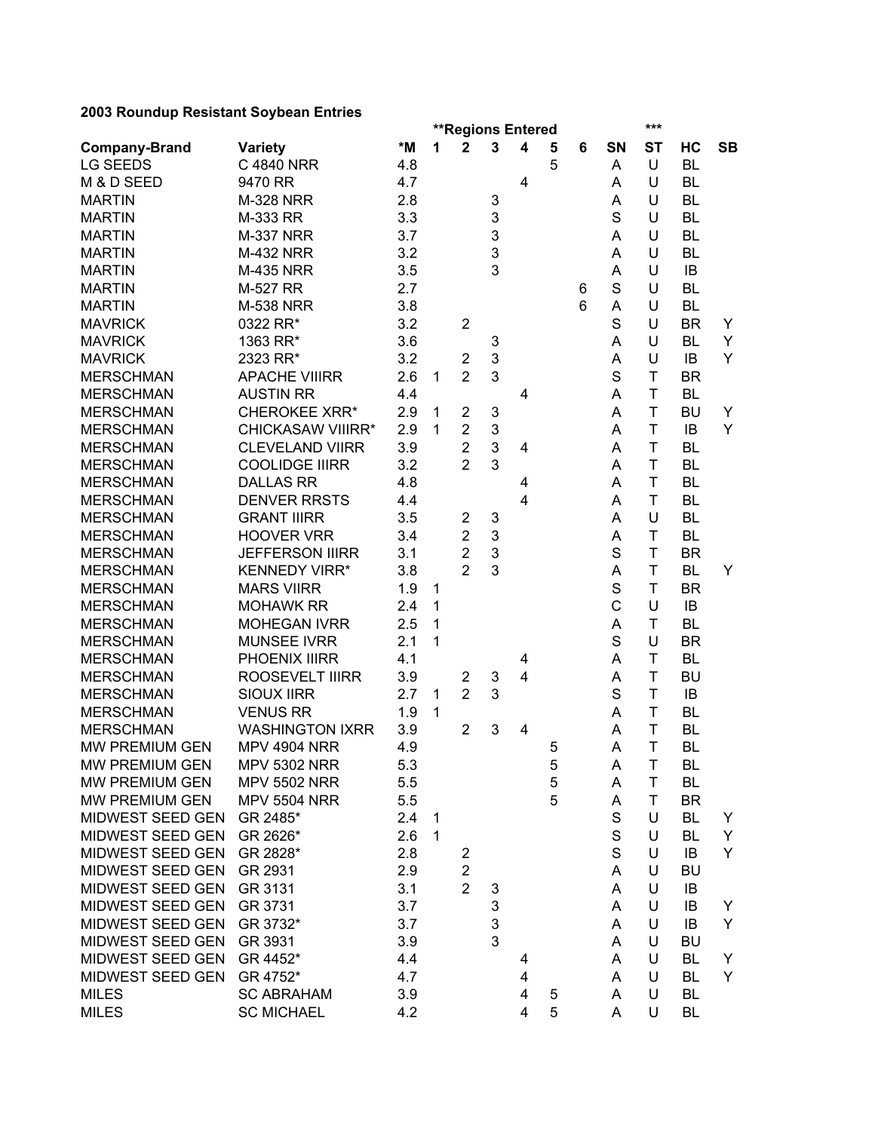|                      |                          |     |              |                         | <b>**Regions Entered</b> |                         |                  |   |             | ***         |           |           |
|----------------------|--------------------------|-----|--------------|-------------------------|--------------------------|-------------------------|------------------|---|-------------|-------------|-----------|-----------|
| <b>Company-Brand</b> | <b>Variety</b>           | *M  | 1            | $\mathbf 2$             | $\mathbf{3}$             | $\overline{\mathbf{4}}$ | 5                | 6 | SN          | <b>ST</b>   | НC        | <b>SB</b> |
| <b>LG SEEDS</b>      | C 4840 NRR               | 4.8 |              |                         |                          |                         | 5                |   | Α           | U           | <b>BL</b> |           |
| M & D SEED           | 9470 RR                  | 4.7 |              |                         |                          | 4                       |                  |   | Α           | U           | <b>BL</b> |           |
| <b>MARTIN</b>        | <b>M-328 NRR</b>         | 2.8 |              |                         | 3                        |                         |                  |   | Α           | U           | <b>BL</b> |           |
| <b>MARTIN</b>        | M-333 RR                 | 3.3 |              |                         | 3                        |                         |                  |   | S           | U           | <b>BL</b> |           |
| <b>MARTIN</b>        | <b>M-337 NRR</b>         | 3.7 |              |                         | 3                        |                         |                  |   | Α           | U           | <b>BL</b> |           |
| <b>MARTIN</b>        | <b>M-432 NRR</b>         | 3.2 |              |                         | 3                        |                         |                  |   | Α           | U           | <b>BL</b> |           |
| <b>MARTIN</b>        | <b>M-435 NRR</b>         | 3.5 |              |                         | 3                        |                         |                  |   | A           | U           | IB        |           |
| <b>MARTIN</b>        | M-527 RR                 | 2.7 |              |                         |                          |                         |                  | 6 | S           | U           | <b>BL</b> |           |
| <b>MARTIN</b>        | <b>M-538 NRR</b>         | 3.8 |              |                         |                          |                         |                  | 6 | Α           | U           | <b>BL</b> |           |
| <b>MAVRICK</b>       | 0322 RR*                 | 3.2 |              | $\overline{2}$          |                          |                         |                  |   | S           | U           | BR.       | Y         |
| <b>MAVRICK</b>       | 1363 RR*                 | 3.6 |              |                         | 3                        |                         |                  |   | A           | U           | BL        | Y         |
| <b>MAVRICK</b>       | 2323 RR*                 | 3.2 |              | $\overline{2}$          | 3                        |                         |                  |   | A           | U           | IB        | Y         |
| <b>MERSCHMAN</b>     | <b>APACHE VIIIRR</b>     | 2.6 | $\mathbf{1}$ | $\overline{2}$          | 3                        |                         |                  |   | S           | $\mathsf T$ | <b>BR</b> |           |
| <b>MERSCHMAN</b>     | <b>AUSTIN RR</b>         | 4.4 |              |                         |                          | 4                       |                  |   | Α           | T           | <b>BL</b> |           |
| <b>MERSCHMAN</b>     | <b>CHEROKEE XRR*</b>     | 2.9 | 1            | $\overline{2}$          | 3                        |                         |                  |   | Α           | T           | <b>BU</b> | Y         |
| <b>MERSCHMAN</b>     | <b>CHICKASAW VIIIRR*</b> | 2.9 | 1            | $\overline{2}$          | 3                        |                         |                  |   | Α           | T           | IB        | Y         |
| <b>MERSCHMAN</b>     | <b>CLEVELAND VIIRR</b>   | 3.9 |              | $\overline{2}$          | 3                        | 4                       |                  |   | A           | T           | <b>BL</b> |           |
| <b>MERSCHMAN</b>     | <b>COOLIDGE IIIRR</b>    | 3.2 |              | $\overline{2}$          | 3                        |                         |                  |   | Α           | T           | <b>BL</b> |           |
| <b>MERSCHMAN</b>     | <b>DALLAS RR</b>         | 4.8 |              |                         |                          | 4                       |                  |   | Α           | T           | <b>BL</b> |           |
| <b>MERSCHMAN</b>     | <b>DENVER RRSTS</b>      | 4.4 |              |                         |                          | 4                       |                  |   | Α           | T           | <b>BL</b> |           |
| <b>MERSCHMAN</b>     | <b>GRANT IIIRR</b>       | 3.5 |              | $\overline{2}$          | 3                        |                         |                  |   | Α           | U           | <b>BL</b> |           |
| <b>MERSCHMAN</b>     | <b>HOOVER VRR</b>        | 3.4 |              | $\overline{2}$          | 3                        |                         |                  |   | A           | T           | <b>BL</b> |           |
| <b>MERSCHMAN</b>     | <b>JEFFERSON IIIRR</b>   | 3.1 |              | $\overline{2}$          | $\mathbf{3}$             |                         |                  |   | S           | T           | <b>BR</b> |           |
| <b>MERSCHMAN</b>     | <b>KENNEDY VIRR*</b>     | 3.8 |              | $\overline{2}$          | 3                        |                         |                  |   | Α           | T           | <b>BL</b> | Y         |
| <b>MERSCHMAN</b>     | <b>MARS VIIRR</b>        | 1.9 | 1            |                         |                          |                         |                  |   | $\mathbf S$ | T           | <b>BR</b> |           |
| <b>MERSCHMAN</b>     | <b>MOHAWK RR</b>         | 2.4 | 1            |                         |                          |                         |                  |   | Ċ           | U           | IB        |           |
| <b>MERSCHMAN</b>     | <b>MOHEGAN IVRR</b>      | 2.5 | 1            |                         |                          |                         |                  |   | A           | T           | <b>BL</b> |           |
| <b>MERSCHMAN</b>     | <b>MUNSEE IVRR</b>       | 2.1 | 1            |                         |                          |                         |                  |   | S           | U           | <b>BR</b> |           |
| <b>MERSCHMAN</b>     | PHOENIX IIIRR            | 4.1 |              |                         |                          |                         |                  |   | A           | T           | <b>BL</b> |           |
| <b>MERSCHMAN</b>     | <b>ROOSEVELT IIIRR</b>   | 3.9 |              | $\overline{2}$          | 3                        | 4<br>4                  |                  |   | Α           | T           | <b>BU</b> |           |
| <b>MERSCHMAN</b>     | <b>SIOUX IIRR</b>        | 2.7 | 1            | $\overline{2}$          | 3                        |                         |                  |   | S           | T           | IB        |           |
| <b>MERSCHMAN</b>     | <b>VENUS RR</b>          | 1.9 | 1            |                         |                          |                         |                  |   | Α           | T           | <b>BL</b> |           |
| <b>MERSCHMAN</b>     | <b>WASHINGTON IXRR</b>   | 3.9 |              | $\overline{2}$          | 3                        | $\overline{\mathbf{4}}$ |                  |   | Α           | T           | <b>BL</b> |           |
| MW PREMIUM GEN       | <b>MPV 4904 NRR</b>      | 4.9 |              |                         |                          |                         |                  |   | A           | T           | <b>BL</b> |           |
|                      |                          |     |              |                         |                          |                         | 5                |   |             |             |           |           |
| MW PREMIUM GEN       | <b>MPV 5302 NRR</b>      | 5.3 |              |                         |                          |                         | 5                |   | A           | $\mathsf T$ | <b>BL</b> |           |
| MW PREMIUM GEN       | <b>MPV 5502 NRR</b>      | 5.5 |              |                         |                          |                         | $\mathbf 5$<br>5 |   | Α           | T           | BL        |           |
| MW PREMIUM GEN       | <b>MPV 5504 NRR</b>      | 5.5 |              |                         |                          |                         |                  |   | Α           | T           | <b>BR</b> |           |
| MIDWEST SEED GEN     | GR 2485*                 | 2.4 | $\mathbf{1}$ |                         |                          |                         |                  |   | S           | U           | BL        | Y         |
| MIDWEST SEED GEN     | GR 2626*                 | 2.6 | $\mathbf{1}$ |                         |                          |                         |                  |   | S           | U           | <b>BL</b> | Y         |
| MIDWEST SEED GEN     | GR 2828*                 | 2.8 |              | $\overline{2}$          |                          |                         |                  |   | S           | U           | IB        | Y         |
| MIDWEST SEED GEN     | GR 2931                  | 2.9 |              | $\overline{\mathbf{c}}$ |                          |                         |                  |   | A           | U           | <b>BU</b> |           |
| MIDWEST SEED GEN     | GR 3131                  | 3.1 |              | $\overline{2}$          | 3                        |                         |                  |   | A           | U           | IB        |           |
| MIDWEST SEED GEN     | GR 3731                  | 3.7 |              |                         | 3                        |                         |                  |   | A           | U           | IB        | Y         |
| MIDWEST SEED GEN     | GR 3732*                 | 3.7 |              |                         | 3                        |                         |                  |   | A           | U           | IB        | Y         |
| MIDWEST SEED GEN     | GR 3931                  | 3.9 |              |                         | 3                        |                         |                  |   | A           | U           | <b>BU</b> |           |
| MIDWEST SEED GEN     | GR 4452*                 | 4.4 |              |                         |                          | 4                       |                  |   | A           | U           | <b>BL</b> | Y         |
| MIDWEST SEED GEN     | GR 4752*                 | 4.7 |              |                         |                          | 4                       |                  |   | A           | U           | <b>BL</b> | Y         |
| <b>MILES</b>         | <b>SC ABRAHAM</b>        | 3.9 |              |                         |                          | 4                       | 5                |   | A           | U           | BL        |           |
| <b>MILES</b>         | <b>SC MICHAEL</b>        | 4.2 |              |                         |                          | 4                       | 5                |   | Α           | U           | <b>BL</b> |           |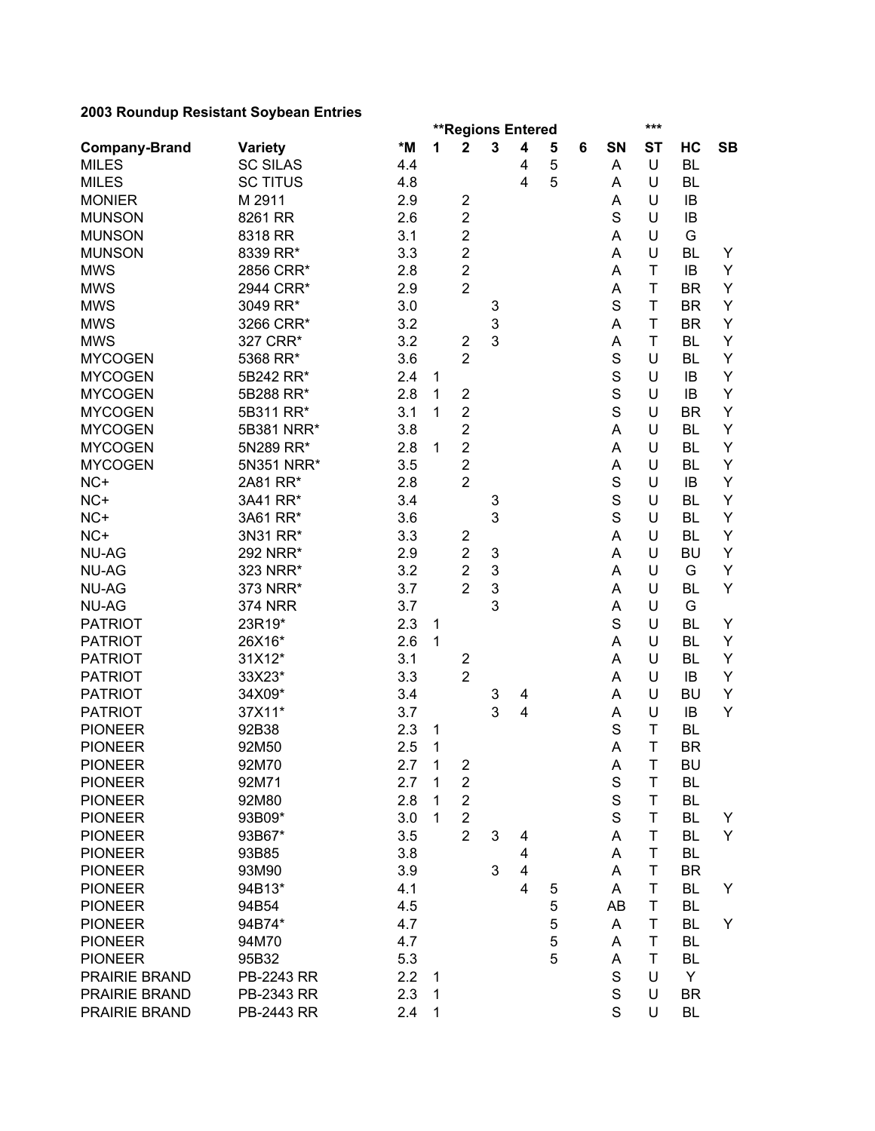|                      |                 |     |              | <b>**Regions Entered</b> |        |                         |   |   |             | ***       |           |           |
|----------------------|-----------------|-----|--------------|--------------------------|--------|-------------------------|---|---|-------------|-----------|-----------|-----------|
| <b>Company-Brand</b> | <b>Variety</b>  | *M  | 1            | 2                        | 3      | 4                       | 5 | 6 | SΝ          | <b>ST</b> | HC        | <b>SB</b> |
| <b>MILES</b>         | <b>SC SILAS</b> | 4.4 |              |                          |        | 4                       | 5 |   | Α           | U         | <b>BL</b> |           |
| <b>MILES</b>         | <b>SC TITUS</b> | 4.8 |              |                          |        | 4                       | 5 |   | Α           | U         | <b>BL</b> |           |
| <b>MONIER</b>        | M 2911          | 2.9 |              | $\overline{\mathbf{c}}$  |        |                         |   |   | A           | U         | IB        |           |
| <b>MUNSON</b>        | 8261 RR         | 2.6 |              | $\overline{\mathbf{c}}$  |        |                         |   |   | S           | U         | IB        |           |
| <b>MUNSON</b>        | 8318 RR         | 3.1 |              | $\overline{c}$           |        |                         |   |   | A           | U         | G         |           |
| <b>MUNSON</b>        | 8339 RR*        | 3.3 |              | $\overline{\mathbf{c}}$  |        |                         |   |   | A           | U         | <b>BL</b> | Y         |
| <b>MWS</b>           | 2856 CRR*       | 2.8 |              | $\overline{c}$           |        |                         |   |   | A           | T         | IB        | Y         |
| <b>MWS</b>           | 2944 CRR*       | 2.9 |              | $\overline{2}$           |        |                         |   |   | A           | T         | <b>BR</b> | Y         |
| <b>MWS</b>           | 3049 RR*        | 3.0 |              |                          | 3      |                         |   |   | S           | T         | <b>BR</b> | Υ         |
| <b>MWS</b>           | 3266 CRR*       | 3.2 |              |                          | 3      |                         |   |   | A           | T         | <b>BR</b> | Y         |
| <b>MWS</b>           | 327 CRR*        | 3.2 |              | $\overline{2}$           | 3      |                         |   |   | A           | T         | <b>BL</b> | Υ         |
| <b>MYCOGEN</b>       | 5368 RR*        | 3.6 |              | $\overline{2}$           |        |                         |   |   | S           | U         | <b>BL</b> | Υ         |
| <b>MYCOGEN</b>       | 5B242 RR*       | 2.4 | 1            |                          |        |                         |   |   | S           | U         | IB        | Υ         |
| <b>MYCOGEN</b>       | 5B288 RR*       | 2.8 | 1            | $\overline{\mathbf{c}}$  |        |                         |   |   | S           | U         | IB        | Υ         |
| <b>MYCOGEN</b>       | 5B311 RR*       | 3.1 | 1            | $\overline{2}$           |        |                         |   |   | S           | U         | <b>BR</b> | Υ         |
| <b>MYCOGEN</b>       | 5B381 NRR*      | 3.8 |              | $\overline{c}$           |        |                         |   |   | A           | U         | <b>BL</b> | Y         |
| <b>MYCOGEN</b>       | 5N289 RR*       | 2.8 | 1            | $\overline{c}$           |        |                         |   |   | A           | U         | <b>BL</b> | Y         |
| <b>MYCOGEN</b>       | 5N351 NRR*      | 3.5 |              | $\overline{2}$           |        |                         |   |   | A           | U         | <b>BL</b> | Υ         |
| NC+                  | 2A81 RR*        | 2.8 |              | $\overline{2}$           |        |                         |   |   | $\mathbf S$ | U         | IB        | Υ         |
| NC+                  | 3A41 RR*        | 3.4 |              |                          |        |                         |   |   | $\mathbf S$ | U         | <b>BL</b> | Υ         |
| NC+                  |                 |     |              |                          | 3<br>3 |                         |   |   | S           | U         | <b>BL</b> | Υ         |
|                      | 3A61 RR*        | 3.6 |              |                          |        |                         |   |   |             |           |           |           |
| NC+                  | 3N31 RR*        | 3.3 |              | $\overline{\mathbf{c}}$  |        |                         |   |   | A           | U         | BL        | Y         |
| <b>NU-AG</b>         | 292 NRR*        | 2.9 |              | $\overline{2}$           | 3      |                         |   |   | Α           | U         | <b>BU</b> | Y         |
| <b>NU-AG</b>         | 323 NRR*        | 3.2 |              | $\overline{2}$           | 3      |                         |   |   | Α           | U         | G         | Y         |
| <b>NU-AG</b>         | 373 NRR*        | 3.7 |              | $\overline{2}$           | 3      |                         |   |   | Α           | U         | <b>BL</b> | Υ         |
| <b>NU-AG</b>         | <b>374 NRR</b>  | 3.7 |              |                          | 3      |                         |   |   | Α           | U         | G         |           |
| <b>PATRIOT</b>       | 23R19*          | 2.3 | 1            |                          |        |                         |   |   | S           | U         | <b>BL</b> | Y         |
| <b>PATRIOT</b>       | 26X16*          | 2.6 | 1            |                          |        |                         |   |   | A           | U         | <b>BL</b> | Υ         |
| <b>PATRIOT</b>       | 31X12*          | 3.1 |              | $\overline{\mathbf{c}}$  |        |                         |   |   | A           | U         | <b>BL</b> | Υ         |
| <b>PATRIOT</b>       | 33X23*          | 3.3 |              | $\overline{2}$           |        |                         |   |   | Α           | U         | IB        | Υ         |
| <b>PATRIOT</b>       | 34X09*          | 3.4 |              |                          | 3      | 4                       |   |   | Α           | U         | <b>BU</b> | Y         |
| <b>PATRIOT</b>       | 37X11*          | 3.7 |              |                          | 3      | 4                       |   |   | A           | U         | IB        | Y         |
| <b>PIONEER</b>       | 92B38           | 2.3 | 1            |                          |        |                         |   |   | S           | T         | <b>BL</b> |           |
| <b>PIONEER</b>       | 92M50           | 2.5 | 1            |                          |        |                         |   |   | A           | T         | <b>BR</b> |           |
| <b>PIONEER</b>       | 92M70           | 2.7 | $\mathbf 1$  | $\overline{\mathbf{c}}$  |        |                         |   |   | A           | T         | BU        |           |
| <b>PIONEER</b>       | 92M71           | 2.7 | $\mathbf{1}$ | $\overline{\mathbf{c}}$  |        |                         |   |   | $\mathbf S$ | T         | <b>BL</b> |           |
| <b>PIONEER</b>       | 92M80           | 2.8 | $\mathbf{1}$ | $\overline{\mathbf{c}}$  |        |                         |   |   | $\mathbf S$ | T         | <b>BL</b> |           |
| <b>PIONEER</b>       | 93B09*          | 3.0 | 1            | $\overline{2}$           |        |                         |   |   | $\mathsf S$ | т         | BL        | Y         |
| <b>PIONEER</b>       | 93B67*          | 3.5 |              | $\overline{2}$           | 3      | 4                       |   |   | A           | T         | <b>BL</b> | Y         |
| <b>PIONEER</b>       | 93B85           | 3.8 |              |                          |        | 4                       |   |   | Α           | T         | <b>BL</b> |           |
| <b>PIONEER</b>       | 93M90           | 3.9 |              |                          | 3      | $\overline{\mathbf{4}}$ |   |   | A           | T         | <b>BR</b> |           |
| <b>PIONEER</b>       | 94B13*          | 4.1 |              |                          |        | $\overline{\mathbf{4}}$ | 5 |   | A           | T         | <b>BL</b> | Y         |
| <b>PIONEER</b>       | 94B54           | 4.5 |              |                          |        |                         | 5 |   | AB          | T         | BL        |           |
| <b>PIONEER</b>       | 94B74*          | 4.7 |              |                          |        |                         | 5 |   | A           | T         | <b>BL</b> | Y         |
| <b>PIONEER</b>       | 94M70           | 4.7 |              |                          |        |                         | 5 |   | Α           | T         | BL        |           |
| <b>PIONEER</b>       | 95B32           | 5.3 |              |                          |        |                         | 5 |   | A           | т         | BL        |           |
| PRAIRIE BRAND        | PB-2243 RR      | 2.2 | 1            |                          |        |                         |   |   | S           | U         | Y         |           |
| PRAIRIE BRAND        | PB-2343 RR      | 2.3 | $\mathbf{1}$ |                          |        |                         |   |   | $\mathbf S$ | U         | <b>BR</b> |           |
| PRAIRIE BRAND        | PB-2443 RR      | 2.4 | 1            |                          |        |                         |   |   | S           | U         | <b>BL</b> |           |
|                      |                 |     |              |                          |        |                         |   |   |             |           |           |           |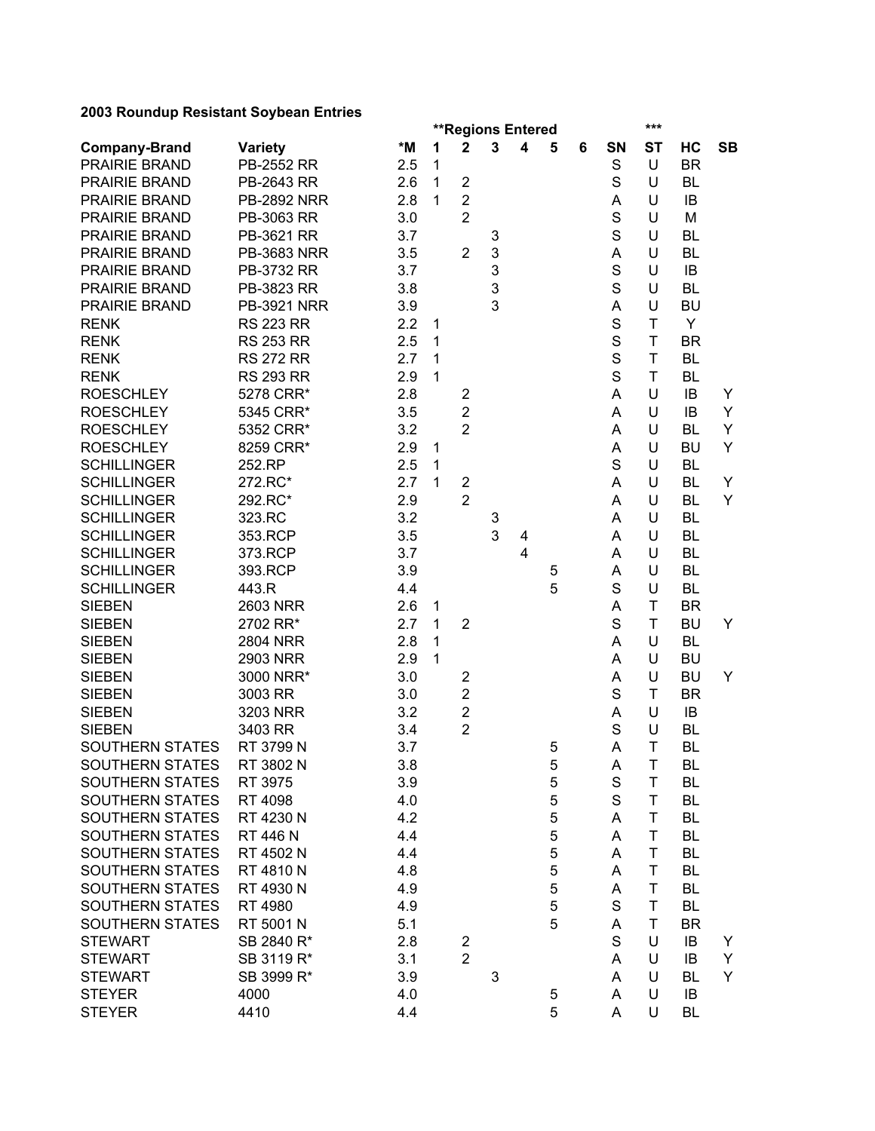|                        |                    |     |              |                         | <b>**Regions Entered</b> |                         |             |   |             | ***         |           |           |
|------------------------|--------------------|-----|--------------|-------------------------|--------------------------|-------------------------|-------------|---|-------------|-------------|-----------|-----------|
| <b>Company-Brand</b>   | <b>Variety</b>     | *M  | 1            | $\mathbf 2$             | $\mathbf{3}$             | 4                       | 5           | 6 | SN          | <b>ST</b>   | НC        | <b>SB</b> |
| PRAIRIE BRAND          | PB-2552 RR         | 2.5 | $\mathbf{1}$ |                         |                          |                         |             |   | S           | U           | <b>BR</b> |           |
| PRAIRIE BRAND          | PB-2643 RR         | 2.6 | $\mathbf{1}$ | $\mathbf 2$             |                          |                         |             |   | S           | U           | BL        |           |
| PRAIRIE BRAND          | <b>PB-2892 NRR</b> | 2.8 | $\mathbf{1}$ | $\overline{2}$          |                          |                         |             |   | Α           | U           | IB        |           |
| PRAIRIE BRAND          | PB-3063 RR         | 3.0 |              | $\overline{2}$          |                          |                         |             |   | S           | U           | M         |           |
| PRAIRIE BRAND          | PB-3621 RR         | 3.7 |              |                         | 3                        |                         |             |   | S           | U           | <b>BL</b> |           |
| PRAIRIE BRAND          | <b>PB-3683 NRR</b> | 3.5 |              | $\overline{2}$          | 3                        |                         |             |   | A           | U           | <b>BL</b> |           |
| PRAIRIE BRAND          | PB-3732 RR         | 3.7 |              |                         | 3                        |                         |             |   | $\mathbf S$ | U           | IB        |           |
| PRAIRIE BRAND          | PB-3823 RR         | 3.8 |              |                         | 3                        |                         |             |   | S           | U           | <b>BL</b> |           |
| PRAIRIE BRAND          | <b>PB-3921 NRR</b> | 3.9 |              |                         | 3                        |                         |             |   | Α           | U           | <b>BU</b> |           |
| <b>RENK</b>            | <b>RS 223 RR</b>   | 2.2 | 1            |                         |                          |                         |             |   | S           | T           | Y         |           |
| <b>RENK</b>            | <b>RS 253 RR</b>   | 2.5 | 1            |                         |                          |                         |             |   | S           | T           | <b>BR</b> |           |
| <b>RENK</b>            | <b>RS 272 RR</b>   | 2.7 | 1            |                         |                          |                         |             |   | S           | T           | <b>BL</b> |           |
| <b>RENK</b>            | <b>RS 293 RR</b>   | 2.9 | $\mathbf{1}$ |                         |                          |                         |             |   | S           | T           | <b>BL</b> |           |
| <b>ROESCHLEY</b>       | 5278 CRR*          | 2.8 |              | $\overline{\mathbf{c}}$ |                          |                         |             |   | Α           | U           | IB        | Y         |
| <b>ROESCHLEY</b>       | 5345 CRR*          | 3.5 |              | $\overline{c}$          |                          |                         |             |   | Α           | U           | IB        | Y         |
| <b>ROESCHLEY</b>       | 5352 CRR*          | 3.2 |              | $\overline{2}$          |                          |                         |             |   | Α           | U           | <b>BL</b> | Y         |
| <b>ROESCHLEY</b>       | 8259 CRR*          | 2.9 | $\mathbf{1}$ |                         |                          |                         |             |   | A           | U           | <b>BU</b> | Y         |
| <b>SCHILLINGER</b>     | 252.RP             | 2.5 | $\mathbf{1}$ |                         |                          |                         |             |   | $\mathbf S$ | U           | <b>BL</b> |           |
| <b>SCHILLINGER</b>     | 272.RC*            | 2.7 | 1            | $\overline{\mathbf{c}}$ |                          |                         |             |   | Α           | U           | BL        | Y         |
| <b>SCHILLINGER</b>     | 292.RC*            | 2.9 |              | $\overline{2}$          |                          |                         |             |   | Α           | U           | <b>BL</b> | Y         |
| <b>SCHILLINGER</b>     | 323.RC             | 3.2 |              |                         | 3                        |                         |             |   | Α           | U           | <b>BL</b> |           |
| <b>SCHILLINGER</b>     | 353.RCP            | 3.5 |              |                         | 3                        | 4                       |             |   | Α           | U           | <b>BL</b> |           |
| <b>SCHILLINGER</b>     | 373.RCP            | 3.7 |              |                         |                          | $\overline{\mathbf{4}}$ |             |   | A           | U           | <b>BL</b> |           |
| <b>SCHILLINGER</b>     | 393.RCP            | 3.9 |              |                         |                          |                         | 5           |   | A           | U           | <b>BL</b> |           |
| <b>SCHILLINGER</b>     | 443.R              | 4.4 |              |                         |                          |                         | 5           |   | S           | U           | <b>BL</b> |           |
| <b>SIEBEN</b>          | 2603 NRR           | 2.6 | 1            |                         |                          |                         |             |   | A           | T           | <b>BR</b> |           |
| <b>SIEBEN</b>          | 2702 RR*           | 2.7 | 1            | $\overline{2}$          |                          |                         |             |   | S           | T           | <b>BU</b> | Y         |
| <b>SIEBEN</b>          | <b>2804 NRR</b>    | 2.8 | $\mathbf{1}$ |                         |                          |                         |             |   | Α           | U           | <b>BL</b> |           |
| <b>SIEBEN</b>          | 2903 NRR           | 2.9 | 1            |                         |                          |                         |             |   | Α           | U           | <b>BU</b> |           |
| <b>SIEBEN</b>          | 3000 NRR*          | 3.0 |              | $\overline{\mathbf{c}}$ |                          |                         |             |   | A           | U           | <b>BU</b> | Y         |
| <b>SIEBEN</b>          | 3003 RR            | 3.0 |              | $\mathbf 2$             |                          |                         |             |   | S           | T           | <b>BR</b> |           |
| <b>SIEBEN</b>          | 3203 NRR           | 3.2 |              | $\overline{\mathbf{c}}$ |                          |                         |             |   | Α           | U           | IB        |           |
| <b>SIEBEN</b>          | 3403 RR            | 3.4 |              | $\overline{2}$          |                          |                         |             |   | S           | U           | <b>BL</b> |           |
| SOUTHERN STATES        | RT 3799 N          | 3.7 |              |                         |                          |                         | 5           |   | A           | T           | <b>BL</b> |           |
| SOUTHERN STATES        | RT 3802 N          | 3.8 |              |                         |                          |                         | 5           |   | A           | $\mathsf T$ | BL        |           |
| SOUTHERN STATES        | RT 3975            | 3.9 |              |                         |                          |                         | 5           |   | $\mathbf S$ | T           | BL        |           |
| <b>SOUTHERN STATES</b> | RT 4098            | 4.0 |              |                         |                          |                         | 5           |   | S           | T           | BL        |           |
| SOUTHERN STATES        | RT 4230 N          | 4.2 |              |                         |                          |                         | $\mathbf 5$ |   | A           | T           | BL        |           |
| <b>SOUTHERN STATES</b> | RT 446 N           | 4.4 |              |                         |                          |                         | 5           |   | A           | T           | BL        |           |
| SOUTHERN STATES        | RT 4502 N          | 4.4 |              |                         |                          |                         | 5           |   | A           | T           | BL        |           |
| <b>SOUTHERN STATES</b> | RT 4810 N          | 4.8 |              |                         |                          |                         | 5           |   | A           | T           | BL        |           |
| SOUTHERN STATES        | RT 4930 N          | 4.9 |              |                         |                          |                         | 5           |   |             | Τ           | BL        |           |
| SOUTHERN STATES        |                    |     |              |                         |                          |                         | 5           |   | A<br>S      | T           | BL        |           |
|                        | RT 4980            | 4.9 |              |                         |                          |                         | 5           |   |             |             |           |           |
| SOUTHERN STATES        | RT 5001 N          | 5.1 |              |                         |                          |                         |             |   | A           | T           | <b>BR</b> |           |
| <b>STEWART</b>         | SB 2840 R*         | 2.8 |              | $\overline{c}$          |                          |                         |             |   | S           | U           | IB        | Y         |
| <b>STEWART</b>         | SB 3119 R*         | 3.1 |              | $\overline{2}$          |                          |                         |             |   | A           | U           | IB        | Y         |
| <b>STEWART</b>         | SB 3999 R*         | 3.9 |              |                         | 3                        |                         |             |   | A           | U           | BL        | Y         |
| <b>STEYER</b>          | 4000               | 4.0 |              |                         |                          |                         | 5           |   | A           | U           | IB        |           |
| <b>STEYER</b>          | 4410               | 4.4 |              |                         |                          |                         | 5           |   | A           | U           | BL        |           |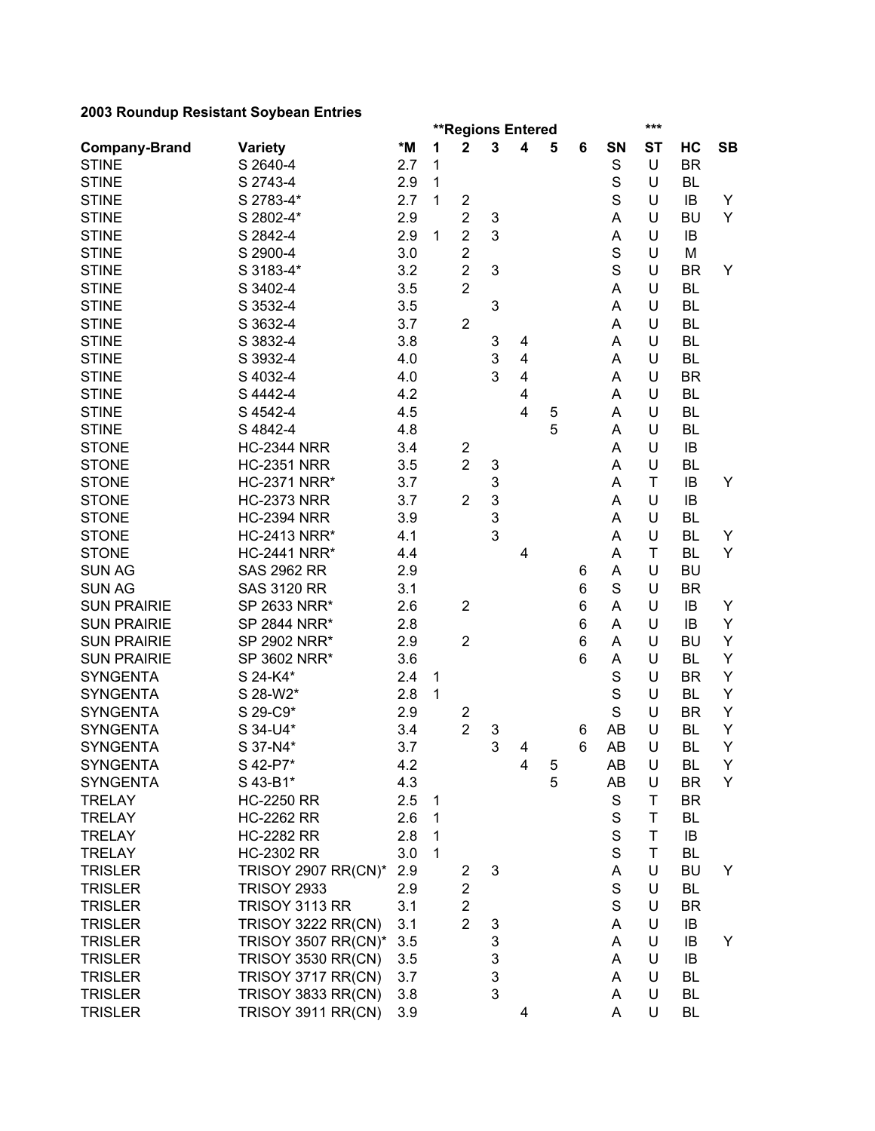|                      |                            |     |   |                         |                           | <b>**Regions Entered</b> |   |   |             | ***       |                        |           |
|----------------------|----------------------------|-----|---|-------------------------|---------------------------|--------------------------|---|---|-------------|-----------|------------------------|-----------|
| <b>Company-Brand</b> | <b>Variety</b>             | *M  | 1 | $\mathbf 2$             | 3                         | 4                        | 5 | 6 | SN          | <b>ST</b> | HC                     | <b>SB</b> |
| <b>STINE</b>         | S 2640-4                   | 2.7 | 1 |                         |                           |                          |   |   | S           | U         | <b>BR</b>              |           |
| <b>STINE</b>         | S 2743-4                   | 2.9 | 1 |                         |                           |                          |   |   | S           | U         | <b>BL</b>              |           |
| <b>STINE</b>         | S 2783-4*                  | 2.7 | 1 | $\overline{\mathbf{c}}$ |                           |                          |   |   | S           | U         | IB                     | Y         |
| <b>STINE</b>         | S 2802-4*                  | 2.9 |   | $\overline{\mathbf{c}}$ | 3                         |                          |   |   | A           | U         | <b>BU</b>              | Y         |
| <b>STINE</b>         | S 2842-4                   | 2.9 | 1 | $\overline{2}$          | 3                         |                          |   |   | А           | U         | IB                     |           |
| <b>STINE</b>         | S 2900-4                   | 3.0 |   | $\overline{\mathbf{c}}$ |                           |                          |   |   | $\mathbf S$ | U         | M                      |           |
| <b>STINE</b>         | S 3183-4*                  | 3.2 |   | $\overline{c}$          | 3                         |                          |   |   | S           | U         | <b>BR</b>              | Y         |
| <b>STINE</b>         | S 3402-4                   | 3.5 |   | $\overline{c}$          |                           |                          |   |   | A           | U         | <b>BL</b>              |           |
| <b>STINE</b>         | S 3532-4                   | 3.5 |   |                         | 3                         |                          |   |   | A           | U         | <b>BL</b>              |           |
| <b>STINE</b>         | S 3632-4                   | 3.7 |   | 2                       |                           |                          |   |   | A           | U         | <b>BL</b>              |           |
| <b>STINE</b>         | S 3832-4                   | 3.8 |   |                         | 3                         | 4                        |   |   | A           | U         | <b>BL</b>              |           |
| <b>STINE</b>         | S 3932-4                   | 4.0 |   |                         | 3                         | 4                        |   |   | A           | U         | <b>BL</b>              |           |
| <b>STINE</b>         | S 4032-4                   | 4.0 |   |                         | 3                         | 4                        |   |   | A           | U         | <b>BR</b>              |           |
| <b>STINE</b>         | S 4442-4                   | 4.2 |   |                         |                           | 4                        |   |   | Α           | U         | <b>BL</b>              |           |
| <b>STINE</b>         | S 4542-4                   | 4.5 |   |                         |                           | 4                        | 5 |   | Α           | U         | <b>BL</b>              |           |
| <b>STINE</b>         | S 4842-4                   | 4.8 |   |                         |                           |                          | 5 |   | Α           | U         | <b>BL</b>              |           |
| <b>STONE</b>         | <b>HC-2344 NRR</b>         | 3.4 |   | $\overline{\mathbf{c}}$ |                           |                          |   |   | A           | U         | IB                     |           |
| <b>STONE</b>         | <b>HC-2351 NRR</b>         | 3.5 |   | $\overline{2}$          | $\ensuremath{\mathsf{3}}$ |                          |   |   | A           | U         | <b>BL</b>              |           |
| <b>STONE</b>         | <b>HC-2371 NRR*</b>        | 3.7 |   |                         | 3                         |                          |   |   | A           | T         | IB                     | Y         |
| <b>STONE</b>         | <b>HC-2373 NRR</b>         | 3.7 |   | $\overline{2}$          | 3                         |                          |   |   | A           | U         | IB                     |           |
| <b>STONE</b>         | <b>HC-2394 NRR</b>         | 3.9 |   |                         | 3                         |                          |   |   | A           | U         | <b>BL</b>              |           |
| <b>STONE</b>         | <b>HC-2413 NRR*</b>        | 4.1 |   |                         | 3                         |                          |   |   | A           | U         | <b>BL</b>              | Y         |
| <b>STONE</b>         | <b>HC-2441 NRR*</b>        | 4.4 |   |                         |                           | 4                        |   |   | A           | T         | <b>BL</b>              | Y         |
| <b>SUN AG</b>        | <b>SAS 2962 RR</b>         | 2.9 |   |                         |                           |                          |   | 6 | Α           | U         | <b>BU</b>              |           |
| <b>SUN AG</b>        | <b>SAS 3120 RR</b>         | 3.1 |   |                         |                           |                          |   | 6 | S           | U         | <b>BR</b>              |           |
| <b>SUN PRAIRIE</b>   | SP 2633 NRR*               | 2.6 |   | $\overline{2}$          |                           |                          |   | 6 | Α           | U         | IB                     | Y         |
| <b>SUN PRAIRIE</b>   | SP 2844 NRR*               | 2.8 |   |                         |                           |                          |   | 6 | A           | U         | IB                     | Υ         |
| <b>SUN PRAIRIE</b>   | SP 2902 NRR*               | 2.9 |   | $\overline{2}$          |                           |                          |   | 6 | A           | U         | <b>BU</b>              | Υ         |
| <b>SUN PRAIRIE</b>   | SP 3602 NRR*               | 3.6 |   |                         |                           |                          |   | 6 | A           | U         | <b>BL</b>              | Υ         |
| <b>SYNGENTA</b>      | S 24-K4*                   | 2.4 | 1 |                         |                           |                          |   |   | S           | U         | <b>BR</b>              | Υ         |
| <b>SYNGENTA</b>      | S 28-W2*                   | 2.8 | 1 |                         |                           |                          |   |   | S           | U         | <b>BL</b>              | Y         |
| <b>SYNGENTA</b>      | S 29-C9*                   | 2.9 |   |                         |                           |                          |   |   | S           | U         | <b>BR</b>              | Υ         |
| <b>SYNGENTA</b>      |                            |     |   | 2<br>$\overline{2}$     |                           |                          |   |   |             |           |                        | Y         |
|                      | S 34-U4*                   | 3.4 |   |                         | 3<br>3                    |                          |   | 6 | AB          | U<br>U    | <b>BL</b><br><b>BL</b> | Υ         |
| <b>SYNGENTA</b>      | S 37-N4*                   | 3.7 |   |                         |                           | 4                        |   | 6 | AB          |           |                        |           |
| <b>SYNGENTA</b>      | S 42-P7*                   | 4.2 |   |                         |                           | 4                        | 5 |   | AB          | U         | BL                     | Y         |
| <b>SYNGENTA</b>      | S 43-B1*                   | 4.3 |   |                         |                           |                          | 5 |   | AB          | U         | <b>BR</b>              | Y         |
| <b>TRELAY</b>        | <b>HC-2250 RR</b>          | 2.5 | 1 |                         |                           |                          |   |   | S           | T         | <b>BR</b>              |           |
| <b>TRELAY</b>        | <b>HC-2262 RR</b>          | 2.6 | 1 |                         |                           |                          |   |   | $\mathbf S$ | Τ         | <b>BL</b>              |           |
| <b>TRELAY</b>        | <b>HC-2282 RR</b>          | 2.8 | 1 |                         |                           |                          |   |   | $\mathbf S$ | T         | IB                     |           |
| <b>TRELAY</b>        | <b>HC-2302 RR</b>          | 3.0 | 1 |                         |                           |                          |   |   | S           | T         | <b>BL</b>              |           |
| <b>TRISLER</b>       | <b>TRISOY 2907 RR(CN)*</b> | 2.9 |   | 2                       | 3                         |                          |   |   | Α           | U         | BU                     | Y         |
| <b>TRISLER</b>       | <b>TRISOY 2933</b>         | 2.9 |   | $\overline{\mathbf{c}}$ |                           |                          |   |   | S           | U         | <b>BL</b>              |           |
| <b>TRISLER</b>       | TRISOY 3113 RR             | 3.1 |   | $\overline{\mathbf{c}}$ |                           |                          |   |   | S           | U         | <b>BR</b>              |           |
| <b>TRISLER</b>       | <b>TRISOY 3222 RR(CN)</b>  | 3.1 |   | $\overline{2}$          | 3                         |                          |   |   | Α           | U         | IB                     |           |
| <b>TRISLER</b>       | <b>TRISOY 3507 RR(CN)*</b> | 3.5 |   |                         | 3                         |                          |   |   | A           | U         | IB                     | Y         |
| <b>TRISLER</b>       | <b>TRISOY 3530 RR(CN)</b>  | 3.5 |   |                         | 3                         |                          |   |   | A           | U         | IB                     |           |
| <b>TRISLER</b>       | TRISOY 3717 RR(CN)         | 3.7 |   |                         | 3                         |                          |   |   | Α           | U         | <b>BL</b>              |           |
| <b>TRISLER</b>       | TRISOY 3833 RR(CN)         | 3.8 |   |                         | 3                         |                          |   |   | A           | U         | <b>BL</b>              |           |
| <b>TRISLER</b>       | <b>TRISOY 3911 RR(CN)</b>  | 3.9 |   |                         |                           | 4                        |   |   | A           | U         | <b>BL</b>              |           |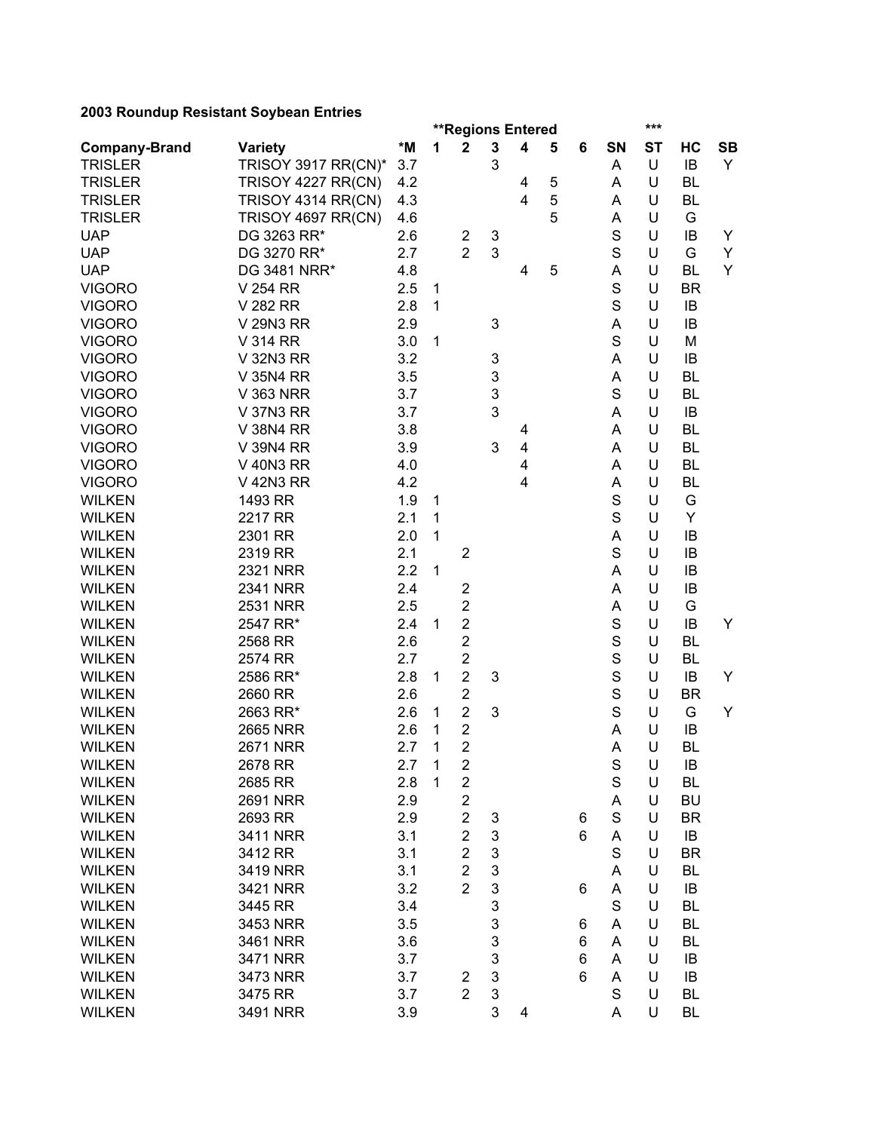|                      |                     |     | ***<br><b>**Regions Entered</b> |                         |                           |                         |             |   |             |           |           |           |
|----------------------|---------------------|-----|---------------------------------|-------------------------|---------------------------|-------------------------|-------------|---|-------------|-----------|-----------|-----------|
| <b>Company-Brand</b> | <b>Variety</b>      | *M  | 1                               | $\mathbf 2$             | $\mathbf 3$               | $\overline{\mathbf{4}}$ | 5           | 6 | SN          | <b>ST</b> | HC        | <b>SB</b> |
| <b>TRISLER</b>       | TRISOY 3917 RR(CN)* | 3.7 |                                 |                         | 3                         |                         |             |   | Α           | U         | IB        | Y         |
| <b>TRISLER</b>       | TRISOY 4227 RR(CN)  | 4.2 |                                 |                         |                           | 4                       | $\mathbf 5$ |   | Α           | U         | BL        |           |
| <b>TRISLER</b>       | TRISOY 4314 RR(CN)  | 4.3 |                                 |                         |                           | 4                       | 5           |   | A           | U         | BL        |           |
| <b>TRISLER</b>       | TRISOY 4697 RR(CN)  | 4.6 |                                 |                         |                           |                         | 5           |   | A           | U         | G         |           |
| <b>UAP</b>           | DG 3263 RR*         | 2.6 |                                 | $\overline{\mathbf{c}}$ | 3                         |                         |             |   | S           | U         | IB        | Y         |
| <b>UAP</b>           | DG 3270 RR*         | 2.7 |                                 | $\overline{2}$          | 3                         |                         |             |   | S           | U         | G         | Y         |
| <b>UAP</b>           | DG 3481 NRR*        | 4.8 |                                 |                         |                           | 4                       | 5           |   | A           | U         | <b>BL</b> | Y         |
| <b>VIGORO</b>        | V 254 RR            | 2.5 | 1                               |                         |                           |                         |             |   | S           | U         | <b>BR</b> |           |
| <b>VIGORO</b>        | V 282 RR            | 2.8 | 1                               |                         |                           |                         |             |   | S           | U         | IB        |           |
| <b>VIGORO</b>        | V 29N3 RR           | 2.9 |                                 |                         | 3                         |                         |             |   | A           | U         | IB        |           |
| <b>VIGORO</b>        | V 314 RR            | 3.0 | 1                               |                         |                           |                         |             |   | S           | U         | M         |           |
| <b>VIGORO</b>        | V 32N3 RR           | 3.2 |                                 |                         | 3                         |                         |             |   | A           | U         | IB        |           |
| <b>VIGORO</b>        | V 35N4 RR           | 3.5 |                                 |                         | 3                         |                         |             |   | A           | U         | <b>BL</b> |           |
| <b>VIGORO</b>        | <b>V 363 NRR</b>    | 3.7 |                                 |                         | $\mathsf 3$               |                         |             |   | S           | U         | <b>BL</b> |           |
| <b>VIGORO</b>        | V 37N3 RR           | 3.7 |                                 |                         | 3                         |                         |             |   | Α           | U         | IB        |           |
| <b>VIGORO</b>        | V 38N4 RR           | 3.8 |                                 |                         |                           | 4                       |             |   | Α           | U         | <b>BL</b> |           |
| <b>VIGORO</b>        | V 39N4 RR           | 3.9 |                                 |                         | 3                         | 4                       |             |   | A           | U         | <b>BL</b> |           |
| <b>VIGORO</b>        | <b>V 40N3 RR</b>    | 4.0 |                                 |                         |                           | 4                       |             |   | A           | U         | <b>BL</b> |           |
| <b>VIGORO</b>        | V 42N3 RR           | 4.2 |                                 |                         |                           | 4                       |             |   | A           | U         | <b>BL</b> |           |
| <b>WILKEN</b>        | 1493 RR             | 1.9 | 1                               |                         |                           |                         |             |   | S           | U         | G         |           |
| <b>WILKEN</b>        | 2217 RR             | 2.1 | $\mathbf{1}$                    |                         |                           |                         |             |   | S           | U         | Υ         |           |
| <b>WILKEN</b>        | 2301 RR             | 2.0 | 1                               |                         |                           |                         |             |   | А           | U         | IB        |           |
| <b>WILKEN</b>        | 2319 RR             | 2.1 |                                 | $\overline{2}$          |                           |                         |             |   | S           | U         | IB        |           |
| <b>WILKEN</b>        | <b>2321 NRR</b>     | 2.2 | $\mathbf{1}$                    |                         |                           |                         |             |   | Α           | U         | IB        |           |
| <b>WILKEN</b>        | 2341 NRR            | 2.4 |                                 | $\overline{c}$          |                           |                         |             |   | A           | U         | IB        |           |
| <b>WILKEN</b>        | <b>2531 NRR</b>     | 2.5 |                                 | $\overline{2}$          |                           |                         |             |   | A           | U         | G         |           |
| <b>WILKEN</b>        | 2547 RR*            | 2.4 | $\mathbf{1}$                    | $\overline{c}$          |                           |                         |             |   | $\mathbf S$ | U         | IB        | Y         |
| <b>WILKEN</b>        | 2568 RR             | 2.6 |                                 | $\overline{c}$          |                           |                         |             |   | S           | U         | BL        |           |
| <b>WILKEN</b>        | 2574 RR             | 2.7 |                                 | $\overline{c}$          |                           |                         |             |   | S           | U         | <b>BL</b> |           |
| <b>WILKEN</b>        | 2586 RR*            | 2.8 | 1                               | $\overline{2}$          | 3                         |                         |             |   | S           | U         | IB        | Y         |
| <b>WILKEN</b>        | 2660 RR             | 2.6 |                                 | $\mathbf 2$             |                           |                         |             |   | S           | U         | <b>BR</b> |           |
| <b>WILKEN</b>        | 2663 RR*            | 2.6 | 1                               | $\overline{c}$          | 3                         |                         |             |   | S           | U         | G         | Y         |
| <b>WILKEN</b>        | <b>2665 NRR</b>     | 2.6 | 1                               | $\boldsymbol{2}$        |                           |                         |             |   | Α           | U         | IB        |           |
| <b>WILKEN</b>        | <b>2671 NRR</b>     | 2.7 | 1                               | $\overline{2}$          |                           |                         |             |   | A           | U         | <b>BL</b> |           |
| <b>WILKEN</b>        |                     | 2.7 | $\mathbf{1}$                    | $\overline{\mathbf{c}}$ |                           |                         |             |   | S           | U         |           |           |
|                      | 2678 RR<br>2685 RR  |     | $\mathbf{1}$                    |                         |                           |                         |             |   | $\mathbf S$ | U         | IB        |           |
| <b>WILKEN</b>        |                     | 2.8 |                                 | $\boldsymbol{2}$        |                           |                         |             |   |             | U         | BL        |           |
| <b>WILKEN</b>        | <b>2691 NRR</b>     | 2.9 |                                 | $\overline{2}$          |                           |                         |             |   | Α           |           | <b>BU</b> |           |
| <b>WILKEN</b>        | 2693 RR             | 2.9 |                                 | $\overline{c}$          | 3                         |                         |             | 6 | $\mathbf S$ | U         | <b>BR</b> |           |
| <b>WILKEN</b>        | 3411 NRR            | 3.1 |                                 | $\overline{2}$          | 3                         |                         |             | 6 | A           | U         | IB        |           |
| <b>WILKEN</b>        | 3412 RR             | 3.1 |                                 | $\overline{2}$          | 3                         |                         |             |   | $\mathbf S$ | U         | <b>BR</b> |           |
| <b>WILKEN</b>        | 3419 NRR            | 3.1 |                                 | $\overline{2}$          | 3                         |                         |             |   | Α           | U         | BL        |           |
| <b>WILKEN</b>        | 3421 NRR            | 3.2 |                                 | $\overline{2}$          | 3                         |                         |             | 6 | A           | U         | IB        |           |
| <b>WILKEN</b>        | 3445 RR             | 3.4 |                                 |                         | 3                         |                         |             |   | S           | U         | BL        |           |
| <b>WILKEN</b>        | 3453 NRR            | 3.5 |                                 |                         | 3                         |                         |             | 6 | Α           | U         | BL        |           |
| <b>WILKEN</b>        | 3461 NRR            | 3.6 |                                 |                         | 3                         |                         |             | 6 | A           | U         | <b>BL</b> |           |
| <b>WILKEN</b>        | 3471 NRR            | 3.7 |                                 |                         | 3                         |                         |             | 6 | A           | U         | IB        |           |
| <b>WILKEN</b>        | 3473 NRR            | 3.7 |                                 | $\overline{2}$          | $\ensuremath{\mathsf{3}}$ |                         |             | 6 | A           | U         | IB        |           |
| <b>WILKEN</b>        | 3475 RR             | 3.7 |                                 | $\overline{2}$          | 3                         |                         |             |   | S           | U         | BL        |           |
| <b>WILKEN</b>        | 3491 NRR            | 3.9 |                                 |                         | 3                         | 4                       |             |   | A           | U         | BL        |           |